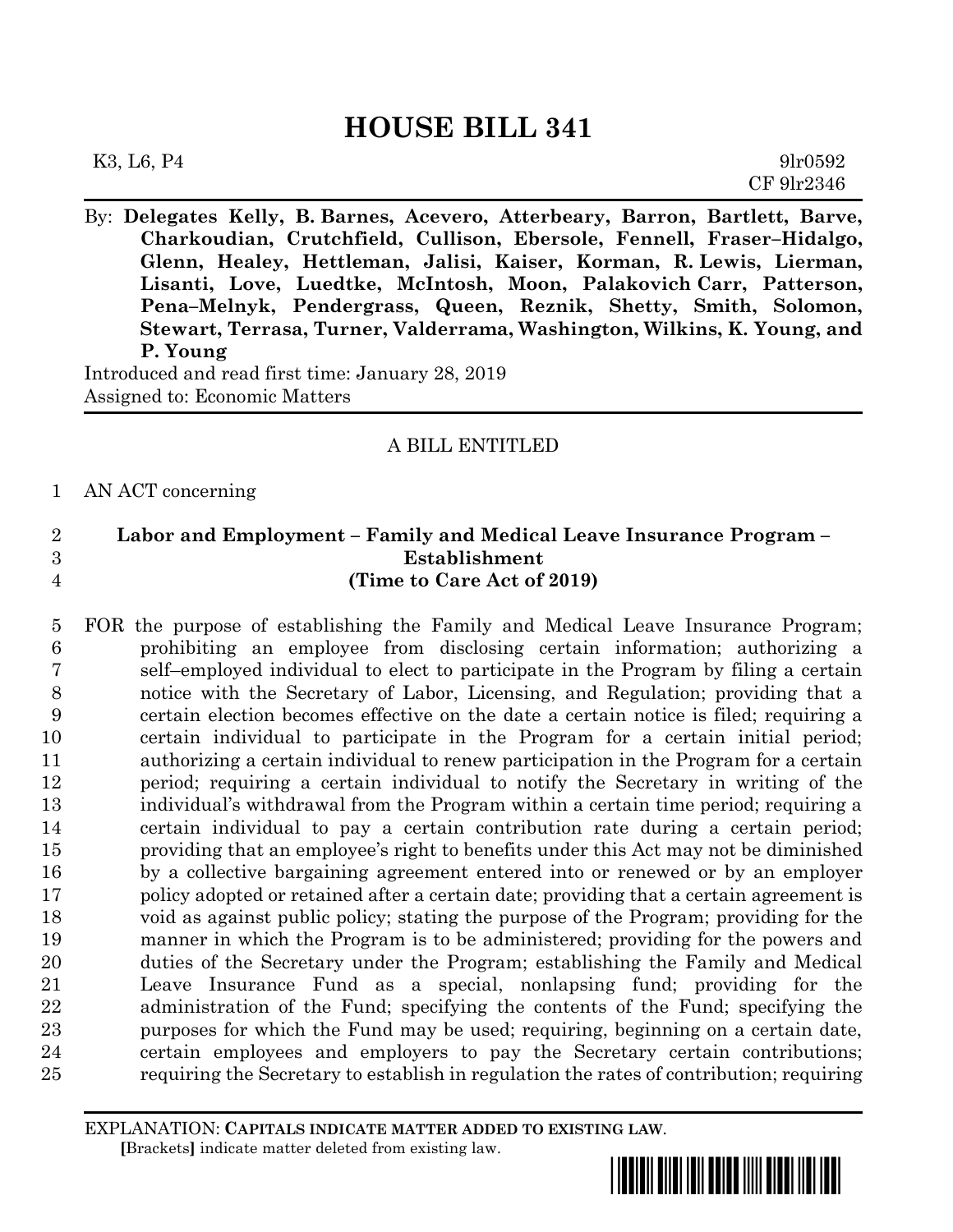By: **Delegates Kelly, B. Barnes, Acevero, Atterbeary, Barron, Bartlett, Barve, Charkoudian, Crutchfield, Cullison, Ebersole, Fennell, Fraser–Hidalgo, Glenn, Healey, Hettleman, Jalisi, Kaiser, Korman, R. Lewis, Lierman, Lisanti, Love, Luedtke, McIntosh, Moon, Palakovich Carr, Patterson, Pena–Melnyk, Pendergrass, Queen, Reznik, Shetty, Smith, Solomon, Stewart, Terrasa, Turner, Valderrama, Washington, Wilkins, K. Young, and P. Young**

Introduced and read first time: January 28, 2019 Assigned to: Economic Matters

# A BILL ENTITLED

## AN ACT concerning

# **Labor and Employment – Family and Medical Leave Insurance Program – Establishment (Time to Care Act of 2019)**

 FOR the purpose of establishing the Family and Medical Leave Insurance Program; prohibiting an employee from disclosing certain information; authorizing a self–employed individual to elect to participate in the Program by filing a certain notice with the Secretary of Labor, Licensing, and Regulation; providing that a certain election becomes effective on the date a certain notice is filed; requiring a certain individual to participate in the Program for a certain initial period; authorizing a certain individual to renew participation in the Program for a certain period; requiring a certain individual to notify the Secretary in writing of the individual's withdrawal from the Program within a certain time period; requiring a certain individual to pay a certain contribution rate during a certain period; providing that an employee's right to benefits under this Act may not be diminished by a collective bargaining agreement entered into or renewed or by an employer policy adopted or retained after a certain date; providing that a certain agreement is void as against public policy; stating the purpose of the Program; providing for the manner in which the Program is to be administered; providing for the powers and duties of the Secretary under the Program; establishing the Family and Medical Leave Insurance Fund as a special, nonlapsing fund; providing for the administration of the Fund; specifying the contents of the Fund; specifying the purposes for which the Fund may be used; requiring, beginning on a certain date, certain employees and employers to pay the Secretary certain contributions; requiring the Secretary to establish in regulation the rates of contribution; requiring

EXPLANATION: **CAPITALS INDICATE MATTER ADDED TO EXISTING LAW**.  **[**Brackets**]** indicate matter deleted from existing law.

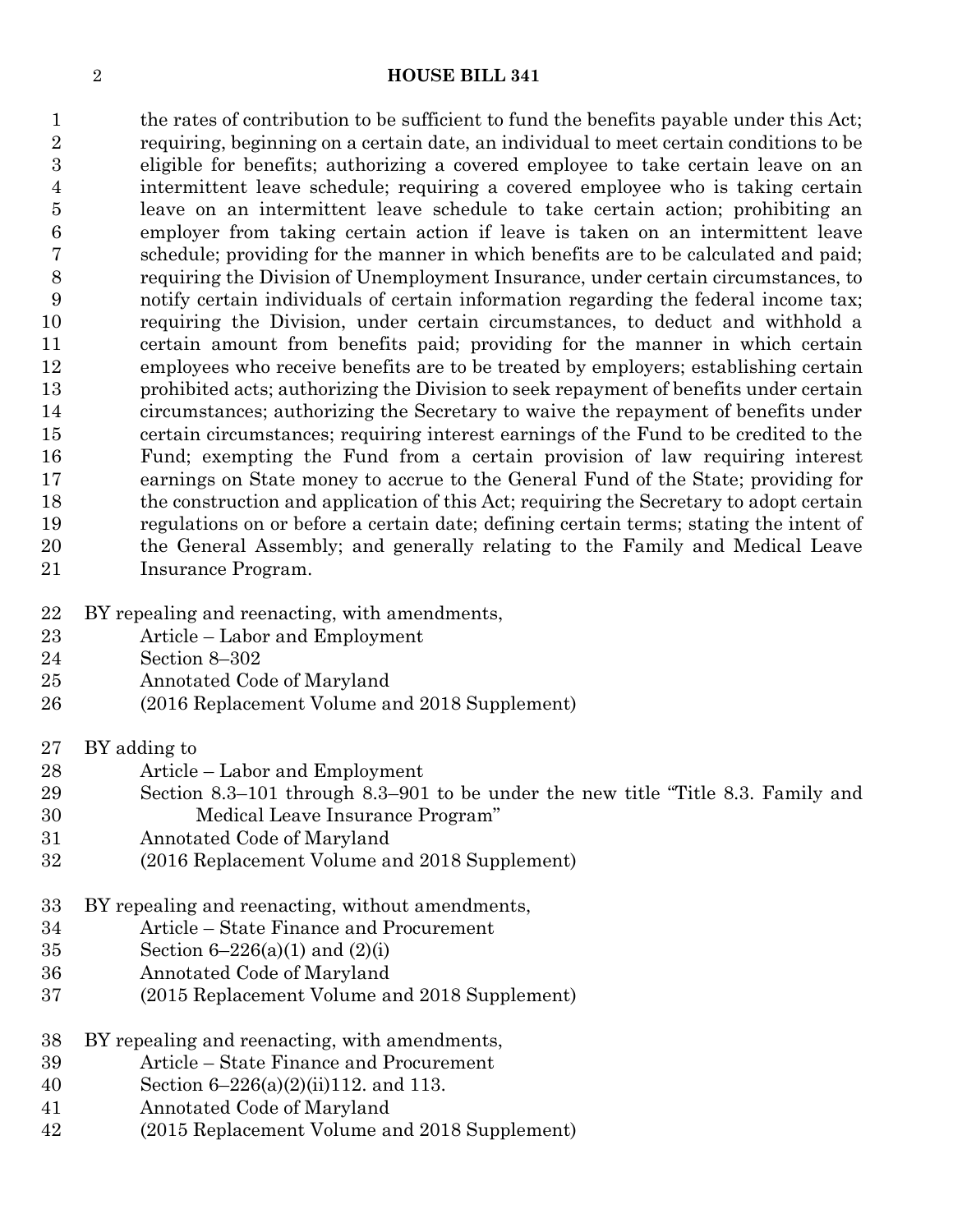1 the rates of contribution to be sufficient to fund the benefits payable under this Act; requiring, beginning on a certain date, an individual to meet certain conditions to be eligible for benefits; authorizing a covered employee to take certain leave on an intermittent leave schedule; requiring a covered employee who is taking certain leave on an intermittent leave schedule to take certain action; prohibiting an employer from taking certain action if leave is taken on an intermittent leave schedule; providing for the manner in which benefits are to be calculated and paid; requiring the Division of Unemployment Insurance, under certain circumstances, to notify certain individuals of certain information regarding the federal income tax; requiring the Division, under certain circumstances, to deduct and withhold a certain amount from benefits paid; providing for the manner in which certain employees who receive benefits are to be treated by employers; establishing certain prohibited acts; authorizing the Division to seek repayment of benefits under certain circumstances; authorizing the Secretary to waive the repayment of benefits under certain circumstances; requiring interest earnings of the Fund to be credited to the Fund; exempting the Fund from a certain provision of law requiring interest earnings on State money to accrue to the General Fund of the State; providing for the construction and application of this Act; requiring the Secretary to adopt certain regulations on or before a certain date; defining certain terms; stating the intent of the General Assembly; and generally relating to the Family and Medical Leave Insurance Program.

- BY repealing and reenacting, with amendments,
- Article Labor and Employment
- Section 8–302
- Annotated Code of Maryland
- (2016 Replacement Volume and 2018 Supplement)
- BY adding to
- Article Labor and Employment
- Section 8.3–101 through 8.3–901 to be under the new title "Title 8.3. Family and Medical Leave Insurance Program"
- Annotated Code of Maryland
- (2016 Replacement Volume and 2018 Supplement)
- BY repealing and reenacting, without amendments,
- Article State Finance and Procurement
- Section 6–226(a)(1) and (2)(i)
- Annotated Code of Maryland
- (2015 Replacement Volume and 2018 Supplement)
- BY repealing and reenacting, with amendments,
- Article State Finance and Procurement
- Section 6–226(a)(2)(ii)112. and 113.
- Annotated Code of Maryland
- (2015 Replacement Volume and 2018 Supplement)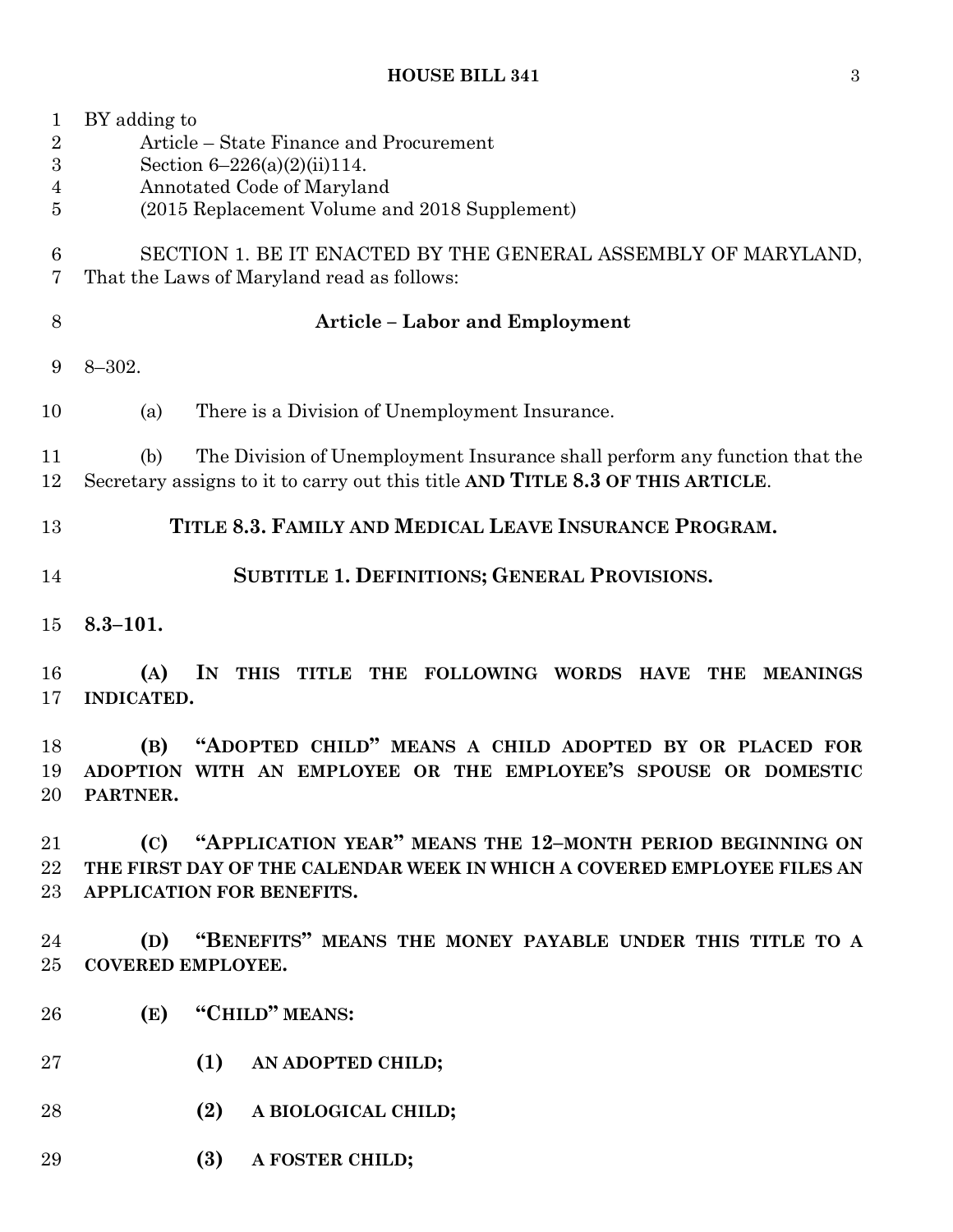| 1<br>$\overline{2}$<br>3<br>4<br>5 | BY adding to<br>Article – State Finance and Procurement<br>Section $6-226(a)(2)(ii)114$ .<br>Annotated Code of Maryland<br>(2015 Replacement Volume and 2018 Supplement) |
|------------------------------------|--------------------------------------------------------------------------------------------------------------------------------------------------------------------------|
| 6<br>7                             | SECTION 1. BE IT ENACTED BY THE GENERAL ASSEMBLY OF MARYLAND,<br>That the Laws of Maryland read as follows:                                                              |
| 8                                  | <b>Article - Labor and Employment</b>                                                                                                                                    |
| 9                                  | $8 - 302.$                                                                                                                                                               |
| 10                                 | There is a Division of Unemployment Insurance.<br>(a)                                                                                                                    |
| 11<br>12                           | The Division of Unemployment Insurance shall perform any function that the<br>(b)<br>Secretary assigns to it to carry out this title AND TITLE 8.3 OF THIS ARTICLE.      |
| 13                                 | TITLE 8.3. FAMILY AND MEDICAL LEAVE INSURANCE PROGRAM.                                                                                                                   |
| 14                                 | SUBTITLE 1. DEFINITIONS; GENERAL PROVISIONS.                                                                                                                             |
| 15                                 | $8.3 - 101.$                                                                                                                                                             |
| 16<br>17                           | (A)<br>IN<br>THIS TITLE THE FOLLOWING WORDS HAVE<br>THE<br><b>MEANINGS</b><br>INDICATED.                                                                                 |
| 18<br>19<br>$20\,$                 | "ADOPTED CHILD" MEANS A CHILD ADOPTED BY OR PLACED FOR<br>(B)<br>ADOPTION WITH AN EMPLOYEE OR THE EMPLOYEE'S SPOUSE OR DOMESTIC<br>PARTNER.                              |
| 21<br>$22\,$<br>$23\,$             | "APPLICATION YEAR" MEANS THE 12-MONTH PERIOD BEGINNING ON<br>(C)<br>THE FIRST DAY OF THE CALENDAR WEEK IN WHICH A COVERED EMPLOYEE FILES AN<br>APPLICATION FOR BENEFITS. |
| 24<br>$25\,$                       | "BENEFITS" MEANS THE MONEY PAYABLE UNDER THIS TITLE TO A<br>(D)<br><b>COVERED EMPLOYEE.</b>                                                                              |
| 26                                 | "CHILD" MEANS:<br>(E)                                                                                                                                                    |
| $27\,$                             | (1)<br>AN ADOPTED CHILD;                                                                                                                                                 |
| 28                                 | (2)<br>A BIOLOGICAL CHILD;                                                                                                                                               |
| 29                                 | (3)<br>A FOSTER CHILD;                                                                                                                                                   |
|                                    |                                                                                                                                                                          |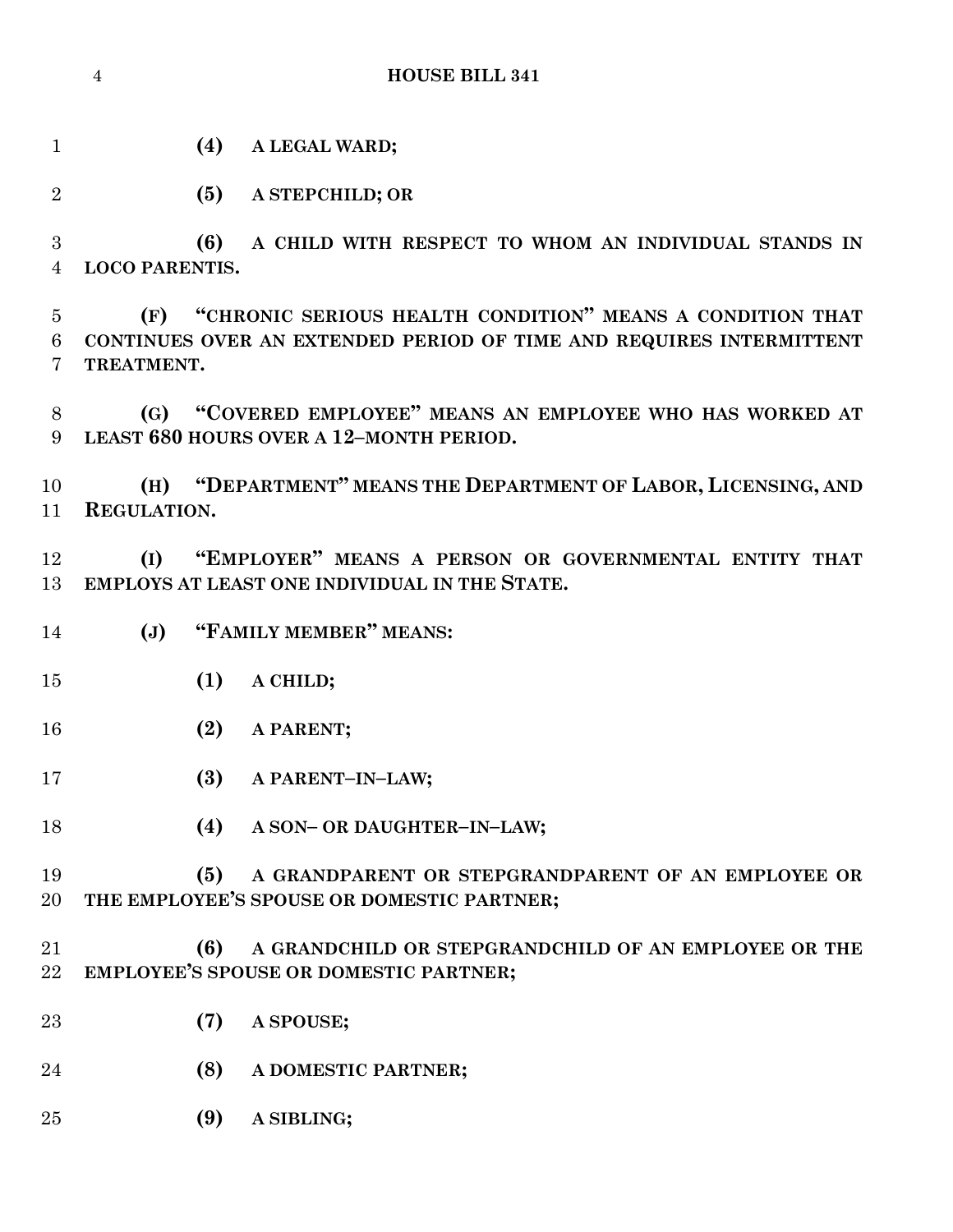**(4) A LEGAL WARD;**

**(5) A STEPCHILD; OR**

 **(6) A CHILD WITH RESPECT TO WHOM AN INDIVIDUAL STANDS IN LOCO PARENTIS.**

 **(F) "CHRONIC SERIOUS HEALTH CONDITION" MEANS A CONDITION THAT CONTINUES OVER AN EXTENDED PERIOD OF TIME AND REQUIRES INTERMITTENT TREATMENT.**

 **(G) "COVERED EMPLOYEE" MEANS AN EMPLOYEE WHO HAS WORKED AT LEAST 680 HOURS OVER A 12–MONTH PERIOD.**

 **(H) "DEPARTMENT" MEANS THE DEPARTMENT OF LABOR, LICENSING, AND REGULATION.**

 **(I) "EMPLOYER" MEANS A PERSON OR GOVERNMENTAL ENTITY THAT EMPLOYS AT LEAST ONE INDIVIDUAL IN THE STATE.**

- **(J) "FAMILY MEMBER" MEANS:**
- **(1) A CHILD;**
- **(2) A PARENT;**
- **(3) A PARENT–IN–LAW;**
- **(4) A SON– OR DAUGHTER–IN–LAW;**
- **(5) A GRANDPARENT OR STEPGRANDPARENT OF AN EMPLOYEE OR THE EMPLOYEE'S SPOUSE OR DOMESTIC PARTNER;**
- **(6) A GRANDCHILD OR STEPGRANDCHILD OF AN EMPLOYEE OR THE EMPLOYEE'S SPOUSE OR DOMESTIC PARTNER;**
- **(7) A SPOUSE;**
- **(8) A DOMESTIC PARTNER;**
- **(9) A SIBLING;**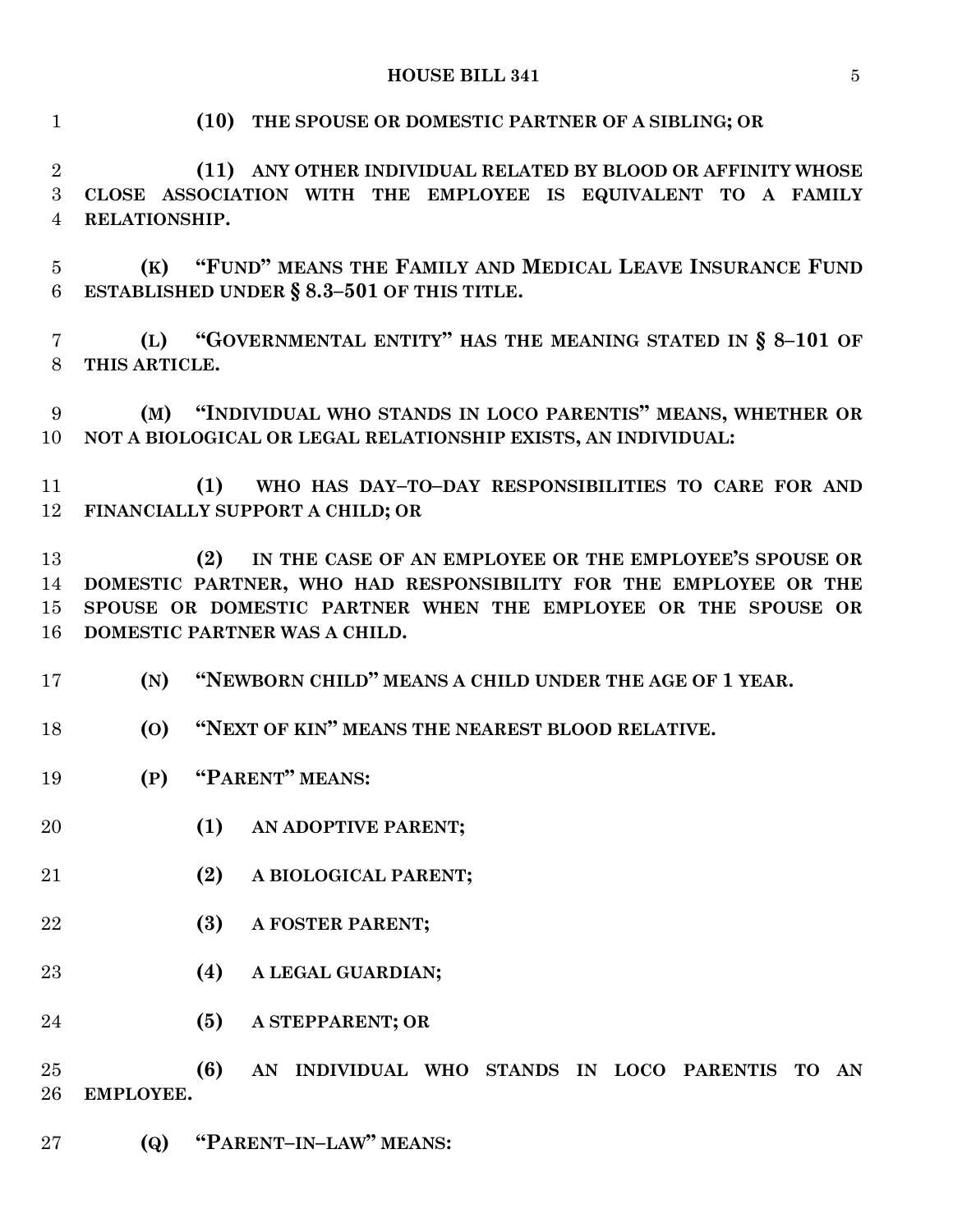**(10) THE SPOUSE OR DOMESTIC PARTNER OF A SIBLING; OR**

 **(11) ANY OTHER INDIVIDUAL RELATED BY BLOOD OR AFFINITY WHOSE CLOSE ASSOCIATION WITH THE EMPLOYEE IS EQUIVALENT TO A FAMILY RELATIONSHIP.**

 **(K) "FUND" MEANS THE FAMILY AND MEDICAL LEAVE INSURANCE FUND ESTABLISHED UNDER § 8.3–501 OF THIS TITLE.**

 **(L) "GOVERNMENTAL ENTITY" HAS THE MEANING STATED IN § 8–101 OF THIS ARTICLE.**

 **(M) "INDIVIDUAL WHO STANDS IN LOCO PARENTIS" MEANS, WHETHER OR NOT A BIOLOGICAL OR LEGAL RELATIONSHIP EXISTS, AN INDIVIDUAL:**

 **(1) WHO HAS DAY–TO–DAY RESPONSIBILITIES TO CARE FOR AND FINANCIALLY SUPPORT A CHILD; OR**

 **(2) IN THE CASE OF AN EMPLOYEE OR THE EMPLOYEE'S SPOUSE OR DOMESTIC PARTNER, WHO HAD RESPONSIBILITY FOR THE EMPLOYEE OR THE SPOUSE OR DOMESTIC PARTNER WHEN THE EMPLOYEE OR THE SPOUSE OR DOMESTIC PARTNER WAS A CHILD.**

**(N) "NEWBORN CHILD" MEANS A CHILD UNDER THE AGE OF 1 YEAR.**

**(O) "NEXT OF KIN" MEANS THE NEAREST BLOOD RELATIVE.**

**(P) "PARENT" MEANS:**

- **(1) AN ADOPTIVE PARENT;**
- **(2) A BIOLOGICAL PARENT;**
- **(3) A FOSTER PARENT;**
- **(4) A LEGAL GUARDIAN;**

**(5) A STEPPARENT; OR**

 **(6) AN INDIVIDUAL WHO STANDS IN LOCO PARENTIS TO AN EMPLOYEE.**

**(Q) "PARENT–IN–LAW" MEANS:**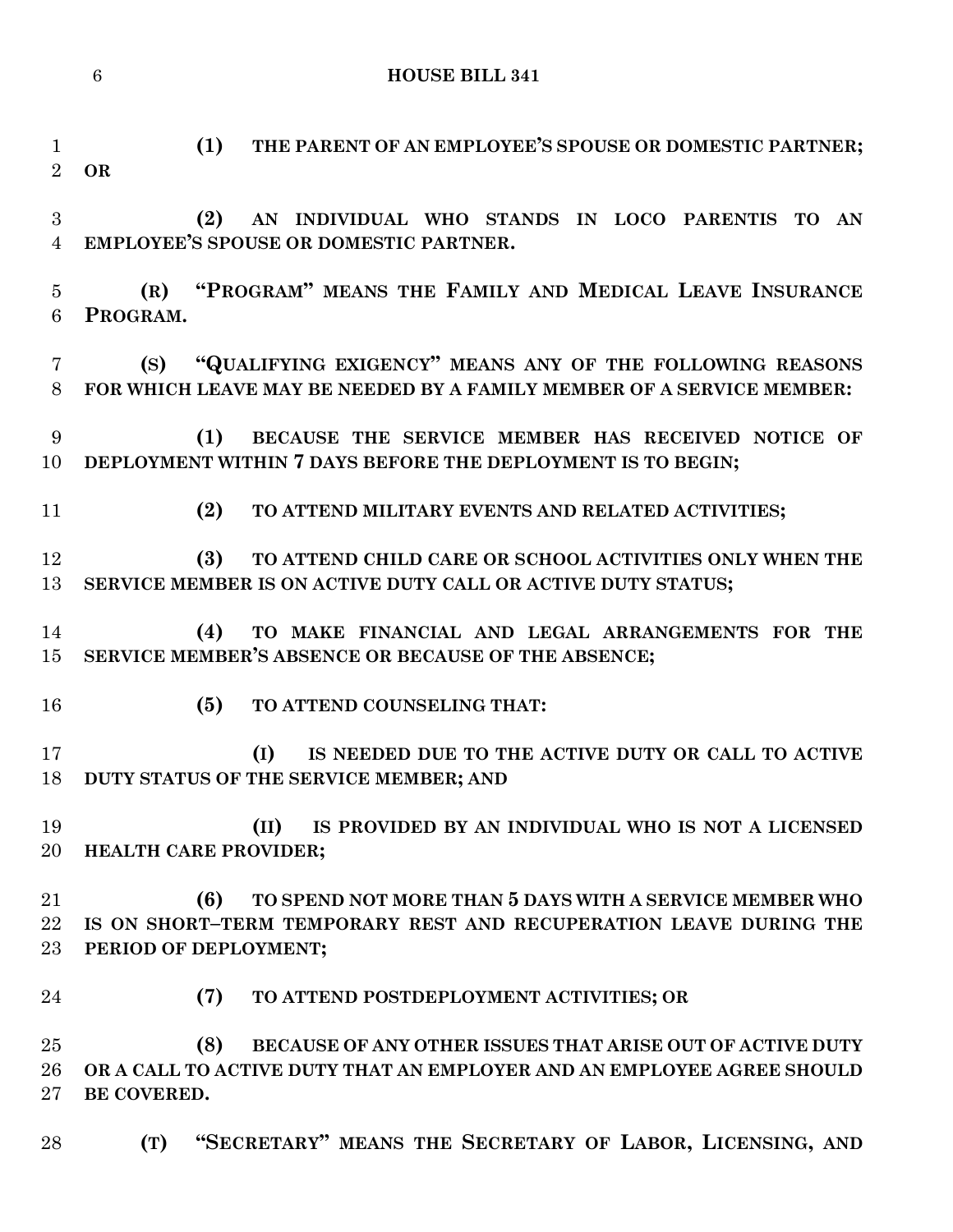**(1) THE PARENT OF AN EMPLOYEE'S SPOUSE OR DOMESTIC PARTNER;**

- **OR (2) AN INDIVIDUAL WHO STANDS IN LOCO PARENTIS TO AN EMPLOYEE'S SPOUSE OR DOMESTIC PARTNER. (R) "PROGRAM" MEANS THE FAMILY AND MEDICAL LEAVE INSURANCE PROGRAM. (S) "QUALIFYING EXIGENCY" MEANS ANY OF THE FOLLOWING REASONS**
- **FOR WHICH LEAVE MAY BE NEEDED BY A FAMILY MEMBER OF A SERVICE MEMBER:**
- **(1) BECAUSE THE SERVICE MEMBER HAS RECEIVED NOTICE OF DEPLOYMENT WITHIN 7 DAYS BEFORE THE DEPLOYMENT IS TO BEGIN;**
- **(2) TO ATTEND MILITARY EVENTS AND RELATED ACTIVITIES;**
- **(3) TO ATTEND CHILD CARE OR SCHOOL ACTIVITIES ONLY WHEN THE SERVICE MEMBER IS ON ACTIVE DUTY CALL OR ACTIVE DUTY STATUS;**
- **(4) TO MAKE FINANCIAL AND LEGAL ARRANGEMENTS FOR THE SERVICE MEMBER'S ABSENCE OR BECAUSE OF THE ABSENCE;**
- **(5) TO ATTEND COUNSELING THAT:**
- **(I) IS NEEDED DUE TO THE ACTIVE DUTY OR CALL TO ACTIVE DUTY STATUS OF THE SERVICE MEMBER; AND**
- **(II) IS PROVIDED BY AN INDIVIDUAL WHO IS NOT A LICENSED HEALTH CARE PROVIDER;**
- **(6) TO SPEND NOT MORE THAN 5 DAYS WITH A SERVICE MEMBER WHO IS ON SHORT–TERM TEMPORARY REST AND RECUPERATION LEAVE DURING THE PERIOD OF DEPLOYMENT;**
- **(7) TO ATTEND POSTDEPLOYMENT ACTIVITIES; OR**

 **(8) BECAUSE OF ANY OTHER ISSUES THAT ARISE OUT OF ACTIVE DUTY OR A CALL TO ACTIVE DUTY THAT AN EMPLOYER AND AN EMPLOYEE AGREE SHOULD BE COVERED.**

**(T) "SECRETARY" MEANS THE SECRETARY OF LABOR, LICENSING, AND**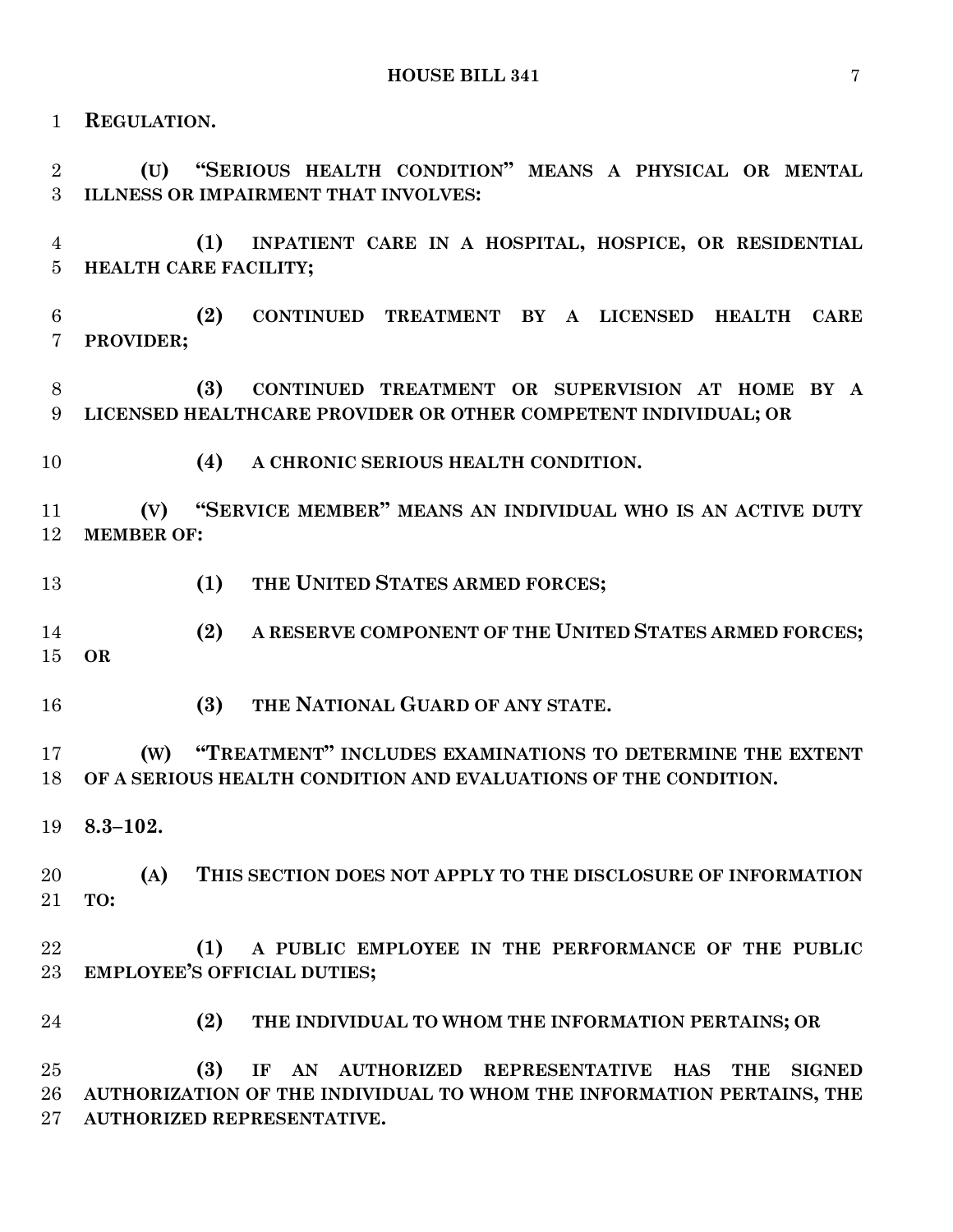**REGULATION.**

 **(U) "SERIOUS HEALTH CONDITION" MEANS A PHYSICAL OR MENTAL ILLNESS OR IMPAIRMENT THAT INVOLVES:**

 **(1) INPATIENT CARE IN A HOSPITAL, HOSPICE, OR RESIDENTIAL HEALTH CARE FACILITY;**

 **(2) CONTINUED TREATMENT BY A LICENSED HEALTH CARE PROVIDER;**

 **(3) CONTINUED TREATMENT OR SUPERVISION AT HOME BY A LICENSED HEALTHCARE PROVIDER OR OTHER COMPETENT INDIVIDUAL; OR**

**(4) A CHRONIC SERIOUS HEALTH CONDITION.**

 **(V) "SERVICE MEMBER" MEANS AN INDIVIDUAL WHO IS AN ACTIVE DUTY MEMBER OF:**

**(1) THE UNITED STATES ARMED FORCES;**

 **(2) A RESERVE COMPONENT OF THE UNITED STATES ARMED FORCES; OR**

**(3) THE NATIONAL GUARD OF ANY STATE.**

 **(W) "TREATMENT" INCLUDES EXAMINATIONS TO DETERMINE THE EXTENT OF A SERIOUS HEALTH CONDITION AND EVALUATIONS OF THE CONDITION.**

**8.3–102.**

 **(A) THIS SECTION DOES NOT APPLY TO THE DISCLOSURE OF INFORMATION TO:**

 **(1) A PUBLIC EMPLOYEE IN THE PERFORMANCE OF THE PUBLIC EMPLOYEE'S OFFICIAL DUTIES;**

**(2) THE INDIVIDUAL TO WHOM THE INFORMATION PERTAINS; OR**

 **(3) IF AN AUTHORIZED REPRESENTATIVE HAS THE SIGNED AUTHORIZATION OF THE INDIVIDUAL TO WHOM THE INFORMATION PERTAINS, THE AUTHORIZED REPRESENTATIVE.**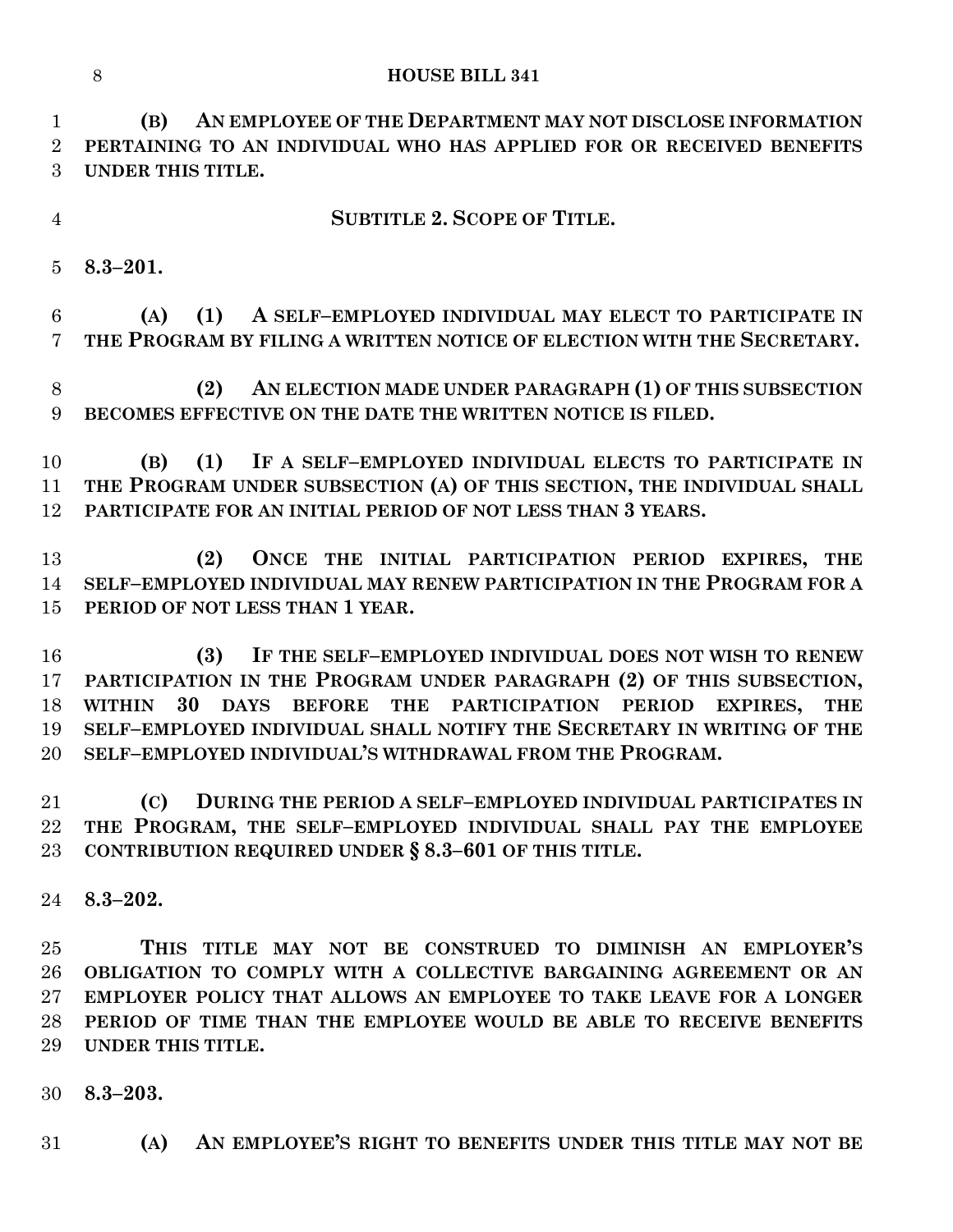**(B) AN EMPLOYEE OF THE DEPARTMENT MAY NOT DISCLOSE INFORMATION PERTAINING TO AN INDIVIDUAL WHO HAS APPLIED FOR OR RECEIVED BENEFITS UNDER THIS TITLE.**

**SUBTITLE 2. SCOPE OF TITLE.**

**8.3–201.**

 **(A) (1) A SELF–EMPLOYED INDIVIDUAL MAY ELECT TO PARTICIPATE IN THE PROGRAM BY FILING A WRITTEN NOTICE OF ELECTION WITH THE SECRETARY.**

 **(2) AN ELECTION MADE UNDER PARAGRAPH (1) OF THIS SUBSECTION BECOMES EFFECTIVE ON THE DATE THE WRITTEN NOTICE IS FILED.**

 **(B) (1) IF A SELF–EMPLOYED INDIVIDUAL ELECTS TO PARTICIPATE IN THE PROGRAM UNDER SUBSECTION (A) OF THIS SECTION, THE INDIVIDUAL SHALL PARTICIPATE FOR AN INITIAL PERIOD OF NOT LESS THAN 3 YEARS.**

 **(2) ONCE THE INITIAL PARTICIPATION PERIOD EXPIRES, THE SELF–EMPLOYED INDIVIDUAL MAY RENEW PARTICIPATION IN THE PROGRAM FOR A PERIOD OF NOT LESS THAN 1 YEAR.**

 **(3) IF THE SELF–EMPLOYED INDIVIDUAL DOES NOT WISH TO RENEW PARTICIPATION IN THE PROGRAM UNDER PARAGRAPH (2) OF THIS SUBSECTION, WITHIN 30 DAYS BEFORE THE PARTICIPATION PERIOD EXPIRES, THE SELF–EMPLOYED INDIVIDUAL SHALL NOTIFY THE SECRETARY IN WRITING OF THE SELF–EMPLOYED INDIVIDUAL'S WITHDRAWAL FROM THE PROGRAM.**

 **(C) DURING THE PERIOD A SELF–EMPLOYED INDIVIDUAL PARTICIPATES IN THE PROGRAM, THE SELF–EMPLOYED INDIVIDUAL SHALL PAY THE EMPLOYEE CONTRIBUTION REQUIRED UNDER § 8.3–601 OF THIS TITLE.**

**8.3–202.**

 **THIS TITLE MAY NOT BE CONSTRUED TO DIMINISH AN EMPLOYER'S OBLIGATION TO COMPLY WITH A COLLECTIVE BARGAINING AGREEMENT OR AN EMPLOYER POLICY THAT ALLOWS AN EMPLOYEE TO TAKE LEAVE FOR A LONGER PERIOD OF TIME THAN THE EMPLOYEE WOULD BE ABLE TO RECEIVE BENEFITS UNDER THIS TITLE.**

- **8.3–203.**
- **(A) AN EMPLOYEE'S RIGHT TO BENEFITS UNDER THIS TITLE MAY NOT BE**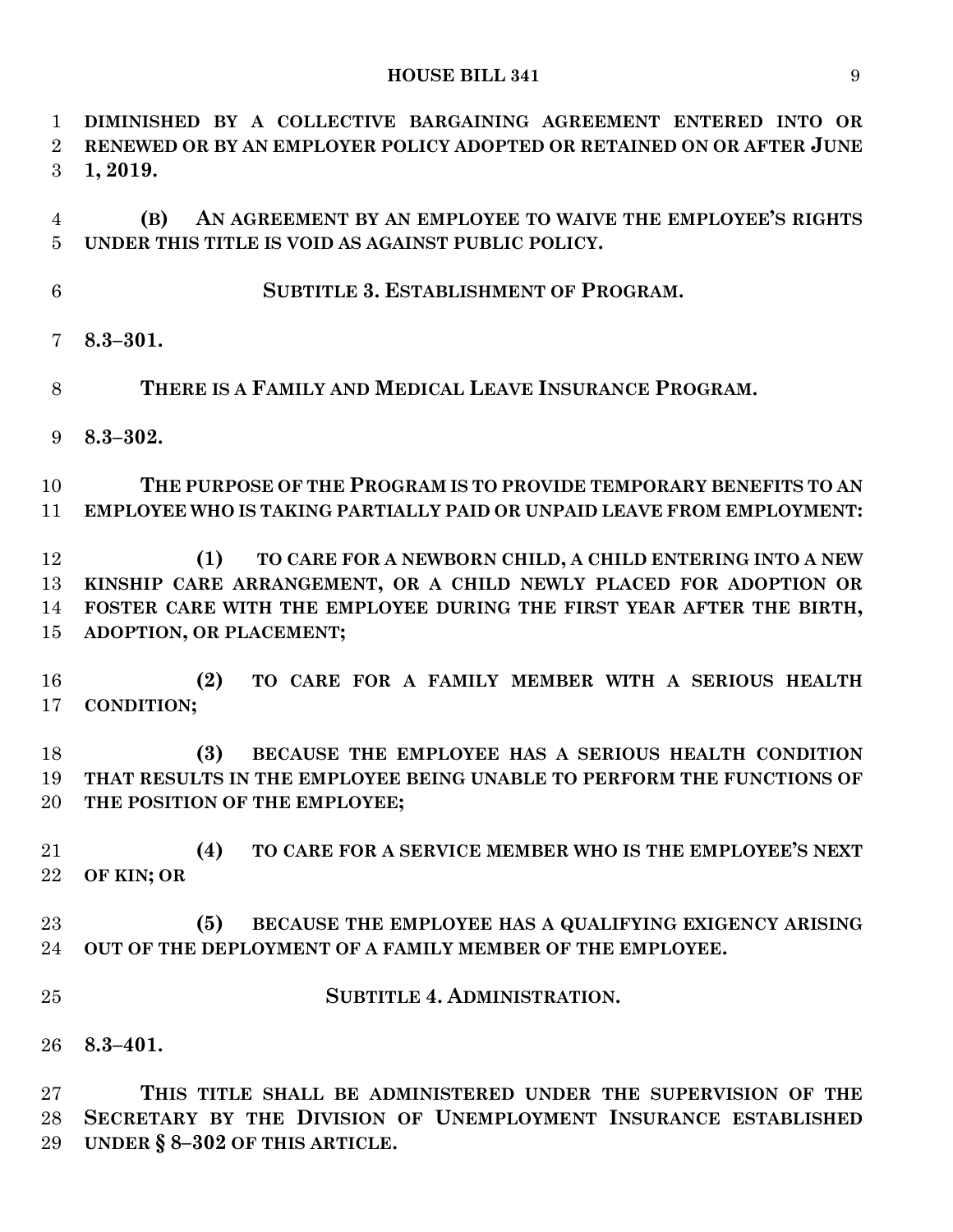**DIMINISHED BY A COLLECTIVE BARGAINING AGREEMENT ENTERED INTO OR RENEWED OR BY AN EMPLOYER POLICY ADOPTED OR RETAINED ON OR AFTER JUNE 1, 2019.**

 **(B) AN AGREEMENT BY AN EMPLOYEE TO WAIVE THE EMPLOYEE'S RIGHTS UNDER THIS TITLE IS VOID AS AGAINST PUBLIC POLICY.**

- **SUBTITLE 3. ESTABLISHMENT OF PROGRAM.**
- **8.3–301.**
- **THERE IS A FAMILY AND MEDICAL LEAVE INSURANCE PROGRAM.**
- **8.3–302.**

 **THE PURPOSE OF THE PROGRAM IS TO PROVIDE TEMPORARY BENEFITS TO AN EMPLOYEE WHO IS TAKING PARTIALLY PAID OR UNPAID LEAVE FROM EMPLOYMENT:**

 **(1) TO CARE FOR A NEWBORN CHILD, A CHILD ENTERING INTO A NEW KINSHIP CARE ARRANGEMENT, OR A CHILD NEWLY PLACED FOR ADOPTION OR FOSTER CARE WITH THE EMPLOYEE DURING THE FIRST YEAR AFTER THE BIRTH, ADOPTION, OR PLACEMENT;**

 **(2) TO CARE FOR A FAMILY MEMBER WITH A SERIOUS HEALTH CONDITION;**

 **(3) BECAUSE THE EMPLOYEE HAS A SERIOUS HEALTH CONDITION THAT RESULTS IN THE EMPLOYEE BEING UNABLE TO PERFORM THE FUNCTIONS OF THE POSITION OF THE EMPLOYEE;**

 **(4) TO CARE FOR A SERVICE MEMBER WHO IS THE EMPLOYEE'S NEXT OF KIN; OR**

# **(5) BECAUSE THE EMPLOYEE HAS A QUALIFYING EXIGENCY ARISING OUT OF THE DEPLOYMENT OF A FAMILY MEMBER OF THE EMPLOYEE.**

- **SUBTITLE 4. ADMINISTRATION.**
- **8.3–401.**

 **THIS TITLE SHALL BE ADMINISTERED UNDER THE SUPERVISION OF THE SECRETARY BY THE DIVISION OF UNEMPLOYMENT INSURANCE ESTABLISHED UNDER § 8–302 OF THIS ARTICLE.**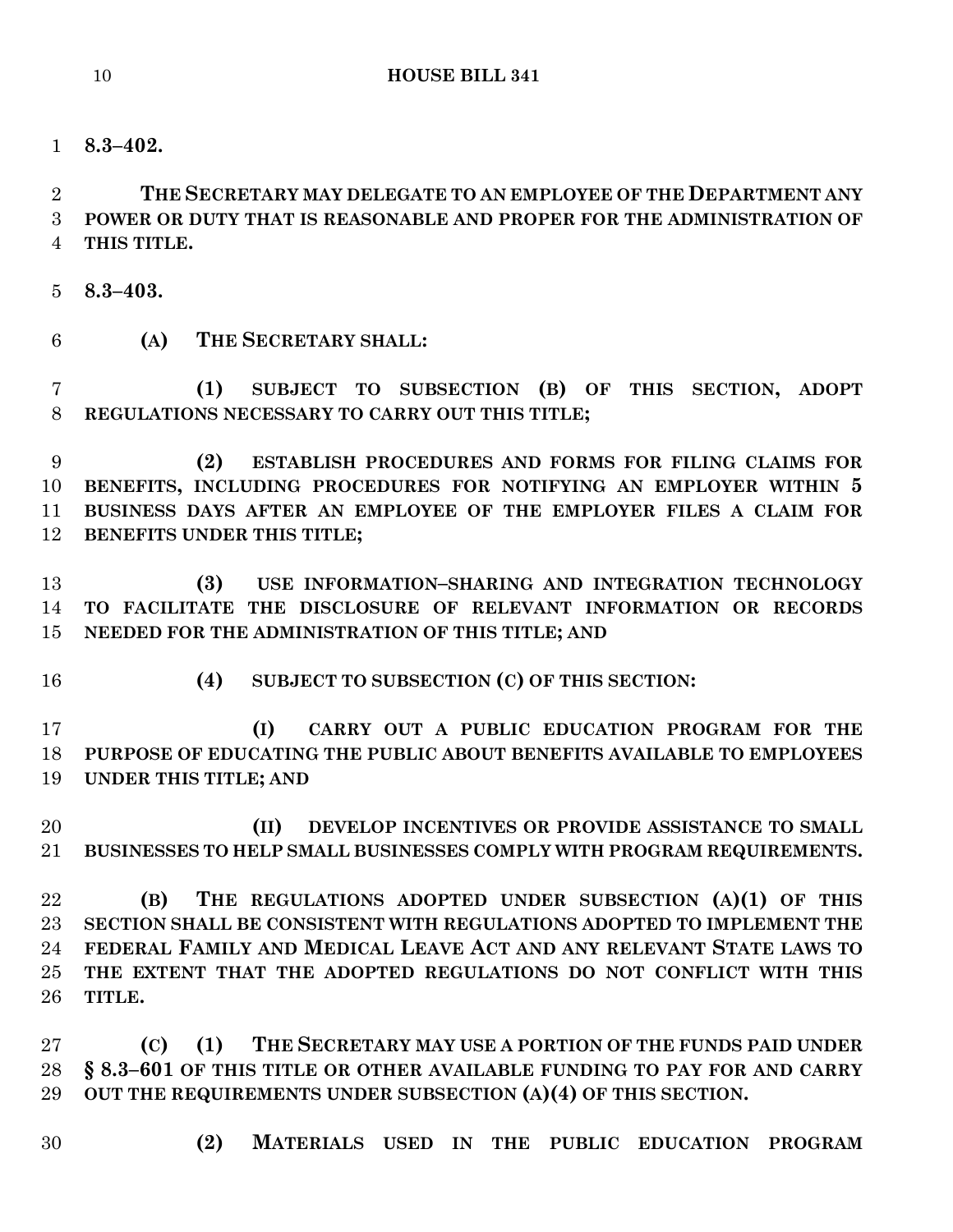**8.3–402.**

 **THE SECRETARY MAY DELEGATE TO AN EMPLOYEE OF THE DEPARTMENT ANY POWER OR DUTY THAT IS REASONABLE AND PROPER FOR THE ADMINISTRATION OF THIS TITLE.**

- **8.3–403.**
- **(A) THE SECRETARY SHALL:**

 **(1) SUBJECT TO SUBSECTION (B) OF THIS SECTION, ADOPT REGULATIONS NECESSARY TO CARRY OUT THIS TITLE;**

 **(2) ESTABLISH PROCEDURES AND FORMS FOR FILING CLAIMS FOR BENEFITS, INCLUDING PROCEDURES FOR NOTIFYING AN EMPLOYER WITHIN 5 BUSINESS DAYS AFTER AN EMPLOYEE OF THE EMPLOYER FILES A CLAIM FOR BENEFITS UNDER THIS TITLE;**

 **(3) USE INFORMATION–SHARING AND INTEGRATION TECHNOLOGY TO FACILITATE THE DISCLOSURE OF RELEVANT INFORMATION OR RECORDS NEEDED FOR THE ADMINISTRATION OF THIS TITLE; AND**

- 
- **(4) SUBJECT TO SUBSECTION (C) OF THIS SECTION:**

 **(I) CARRY OUT A PUBLIC EDUCATION PROGRAM FOR THE PURPOSE OF EDUCATING THE PUBLIC ABOUT BENEFITS AVAILABLE TO EMPLOYEES UNDER THIS TITLE; AND**

 **(II) DEVELOP INCENTIVES OR PROVIDE ASSISTANCE TO SMALL BUSINESSES TO HELP SMALL BUSINESSES COMPLY WITH PROGRAM REQUIREMENTS.**

 **(B) THE REGULATIONS ADOPTED UNDER SUBSECTION (A)(1) OF THIS SECTION SHALL BE CONSISTENT WITH REGULATIONS ADOPTED TO IMPLEMENT THE FEDERAL FAMILY AND MEDICAL LEAVE ACT AND ANY RELEVANT STATE LAWS TO THE EXTENT THAT THE ADOPTED REGULATIONS DO NOT CONFLICT WITH THIS TITLE.**

 **(C) (1) THE SECRETARY MAY USE A PORTION OF THE FUNDS PAID UNDER § 8.3–601 OF THIS TITLE OR OTHER AVAILABLE FUNDING TO PAY FOR AND CARRY OUT THE REQUIREMENTS UNDER SUBSECTION (A)(4) OF THIS SECTION.**

- 
- **(2) MATERIALS USED IN THE PUBLIC EDUCATION PROGRAM**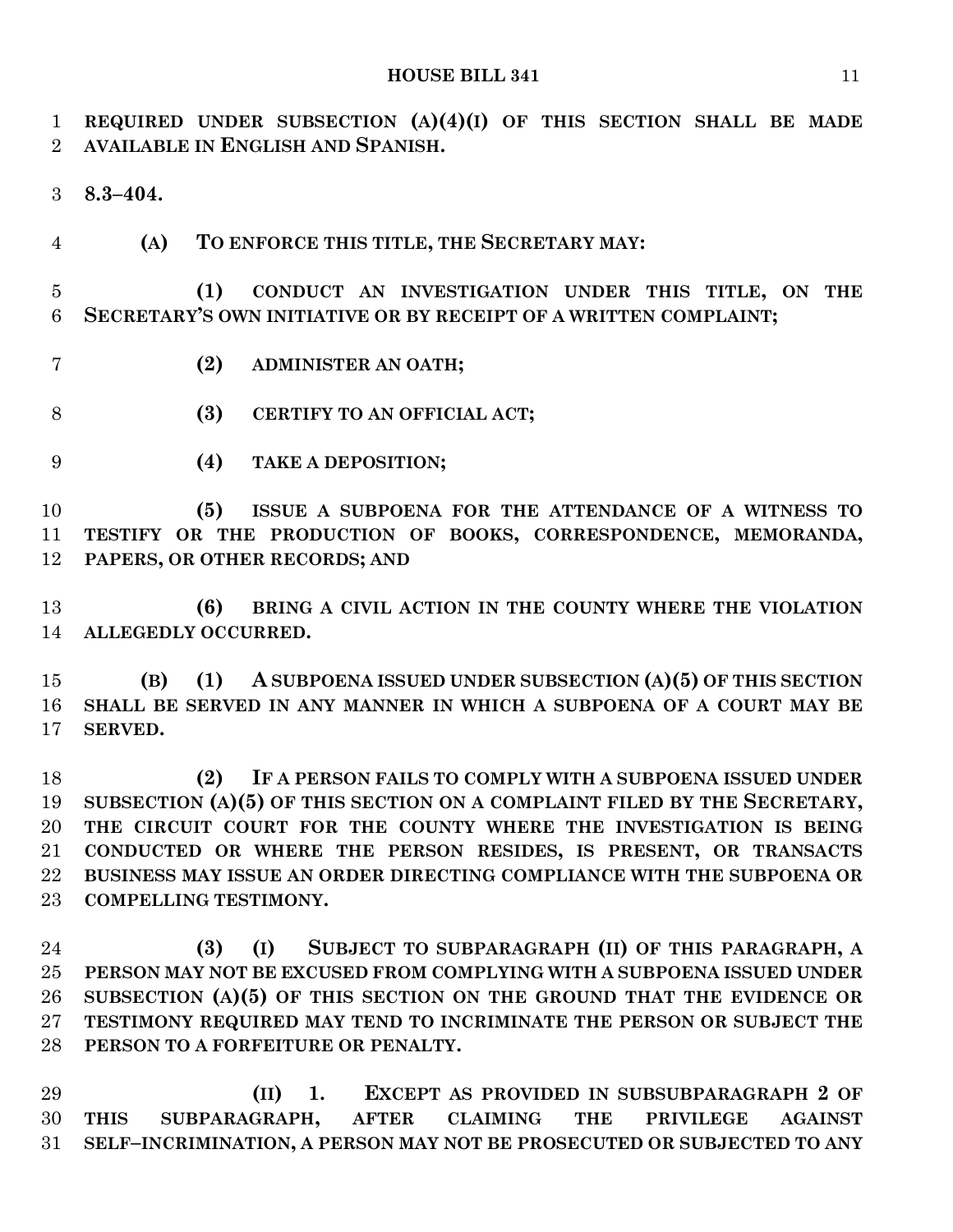**REQUIRED UNDER SUBSECTION (A)(4)(I) OF THIS SECTION SHALL BE MADE AVAILABLE IN ENGLISH AND SPANISH.**

**8.3–404.**

**(A) TO ENFORCE THIS TITLE, THE SECRETARY MAY:**

 **(1) CONDUCT AN INVESTIGATION UNDER THIS TITLE, ON THE SECRETARY'S OWN INITIATIVE OR BY RECEIPT OF A WRITTEN COMPLAINT;**

- **(2) ADMINISTER AN OATH;**
- **(3) CERTIFY TO AN OFFICIAL ACT;**
- **(4) TAKE A DEPOSITION;**

 **(5) ISSUE A SUBPOENA FOR THE ATTENDANCE OF A WITNESS TO TESTIFY OR THE PRODUCTION OF BOOKS, CORRESPONDENCE, MEMORANDA, PAPERS, OR OTHER RECORDS; AND**

 **(6) BRING A CIVIL ACTION IN THE COUNTY WHERE THE VIOLATION ALLEGEDLY OCCURRED.**

 **(B) (1) A SUBPOENA ISSUED UNDER SUBSECTION (A)(5) OF THIS SECTION SHALL BE SERVED IN ANY MANNER IN WHICH A SUBPOENA OF A COURT MAY BE SERVED.**

 **(2) IF A PERSON FAILS TO COMPLY WITH A SUBPOENA ISSUED UNDER SUBSECTION (A)(5) OF THIS SECTION ON A COMPLAINT FILED BY THE SECRETARY, THE CIRCUIT COURT FOR THE COUNTY WHERE THE INVESTIGATION IS BEING CONDUCTED OR WHERE THE PERSON RESIDES, IS PRESENT, OR TRANSACTS BUSINESS MAY ISSUE AN ORDER DIRECTING COMPLIANCE WITH THE SUBPOENA OR COMPELLING TESTIMONY.**

 **(3) (I) SUBJECT TO SUBPARAGRAPH (II) OF THIS PARAGRAPH, A PERSON MAY NOT BE EXCUSED FROM COMPLYING WITH A SUBPOENA ISSUED UNDER SUBSECTION (A)(5) OF THIS SECTION ON THE GROUND THAT THE EVIDENCE OR TESTIMONY REQUIRED MAY TEND TO INCRIMINATE THE PERSON OR SUBJECT THE PERSON TO A FORFEITURE OR PENALTY.**

 **(II) 1. EXCEPT AS PROVIDED IN SUBSUBPARAGRAPH 2 OF THIS SUBPARAGRAPH, AFTER CLAIMING THE PRIVILEGE AGAINST SELF–INCRIMINATION, A PERSON MAY NOT BE PROSECUTED OR SUBJECTED TO ANY**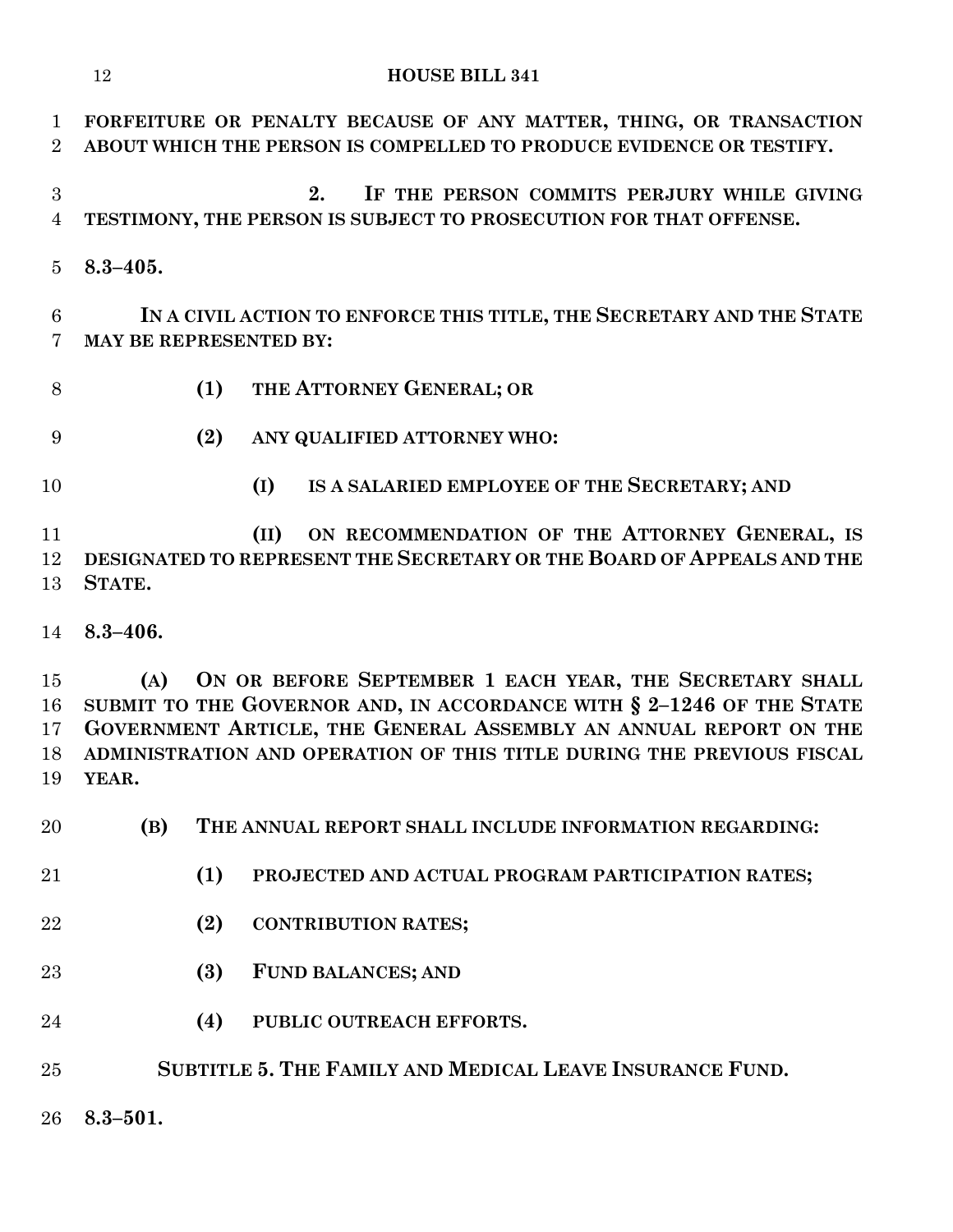|                            | <b>HOUSE BILL 341</b><br>12                                                                                                                                                                                                                                                                  |
|----------------------------|----------------------------------------------------------------------------------------------------------------------------------------------------------------------------------------------------------------------------------------------------------------------------------------------|
| 1<br>$\overline{2}$        | FORFEITURE OR PENALTY BECAUSE OF ANY MATTER, THING, OR TRANSACTION<br>ABOUT WHICH THE PERSON IS COMPELLED TO PRODUCE EVIDENCE OR TESTIFY.                                                                                                                                                    |
| 3<br>$\overline{4}$        | IF THE PERSON COMMITS PERJURY WHILE GIVING<br>2.<br>TESTIMONY, THE PERSON IS SUBJECT TO PROSECUTION FOR THAT OFFENSE.                                                                                                                                                                        |
| 5                          | $8.3 - 405.$                                                                                                                                                                                                                                                                                 |
| 6<br>7                     | IN A CIVIL ACTION TO ENFORCE THIS TITLE, THE SECRETARY AND THE STATE<br>MAY BE REPRESENTED BY:                                                                                                                                                                                               |
| 8                          | THE ATTORNEY GENERAL; OR<br>(1)                                                                                                                                                                                                                                                              |
| 9                          | (2)<br>ANY QUALIFIED ATTORNEY WHO:                                                                                                                                                                                                                                                           |
| 10                         | IS A SALARIED EMPLOYEE OF THE SECRETARY; AND<br>(I)                                                                                                                                                                                                                                          |
| 11<br>12<br>13             | ON RECOMMENDATION OF THE ATTORNEY GENERAL, IS<br>(II)<br>DESIGNATED TO REPRESENT THE SECRETARY OR THE BOARD OF APPEALS AND THE<br>STATE.                                                                                                                                                     |
| 14                         | $8.3 - 406.$                                                                                                                                                                                                                                                                                 |
| 15<br>16<br>17<br>18<br>19 | ON OR BEFORE SEPTEMBER 1 EACH YEAR, THE SECRETARY SHALL<br>(A)<br>SUBMIT TO THE GOVERNOR AND, IN ACCORDANCE WITH § 2-1246 OF THE STATE<br>GOVERNMENT ARTICLE, THE GENERAL ASSEMBLY AN ANNUAL REPORT ON THE<br>ADMINISTRATION AND OPERATION OF THIS TITLE DURING THE PREVIOUS FISCAL<br>YEAR. |
| $20\,$                     | (B)<br>THE ANNUAL REPORT SHALL INCLUDE INFORMATION REGARDING:                                                                                                                                                                                                                                |
| 21                         | (1)<br>PROJECTED AND ACTUAL PROGRAM PARTICIPATION RATES;                                                                                                                                                                                                                                     |
| 22                         | (2)<br><b>CONTRIBUTION RATES;</b>                                                                                                                                                                                                                                                            |
| 23                         | (3)<br><b>FUND BALANCES; AND</b>                                                                                                                                                                                                                                                             |
| 24                         | (4)<br>PUBLIC OUTREACH EFFORTS.                                                                                                                                                                                                                                                              |
| 25                         | SUBTITLE 5. THE FAMILY AND MEDICAL LEAVE INSURANCE FUND.                                                                                                                                                                                                                                     |
| 26                         | $8.3 - 501.$                                                                                                                                                                                                                                                                                 |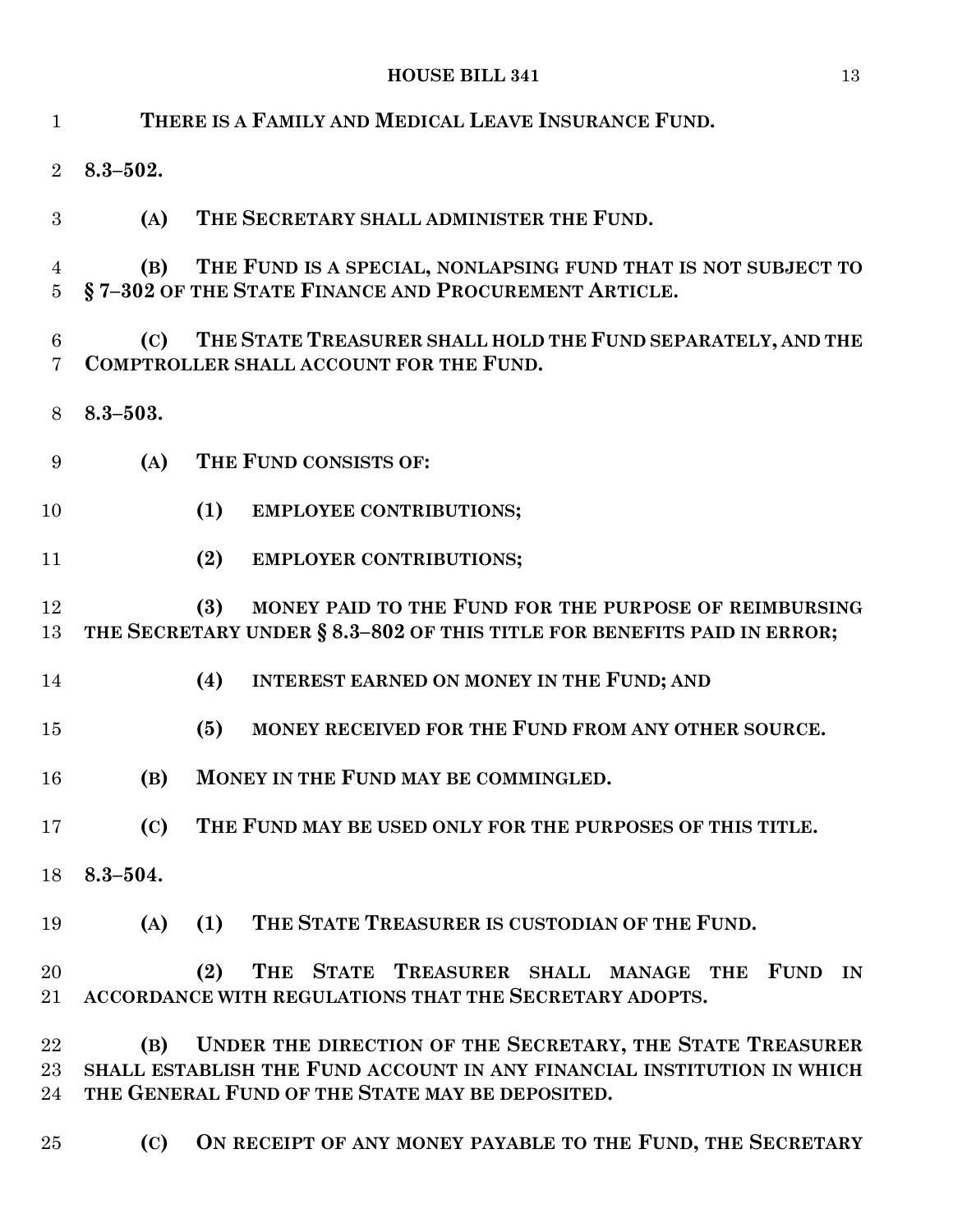| $\mathbf{1}$        |              | THERE IS A FAMILY AND MEDICAL LEAVE INSURANCE FUND.                                                                                                                                    |
|---------------------|--------------|----------------------------------------------------------------------------------------------------------------------------------------------------------------------------------------|
| $\overline{2}$      | $8.3 - 502.$ |                                                                                                                                                                                        |
| 3                   | (A)          | THE SECRETARY SHALL ADMINISTER THE FUND.                                                                                                                                               |
| 4<br>$\overline{5}$ | (B)          | THE FUND IS A SPECIAL, NONLAPSING FUND THAT IS NOT SUBJECT TO<br>§7-302 OF THE STATE FINANCE AND PROCUREMENT ARTICLE.                                                                  |
| 6<br>7              | (C)          | THE STATE TREASURER SHALL HOLD THE FUND SEPARATELY, AND THE<br>COMPTROLLER SHALL ACCOUNT FOR THE FUND.                                                                                 |
| 8                   | $8.3 - 503.$ |                                                                                                                                                                                        |
| 9                   | (A)          | THE FUND CONSISTS OF:                                                                                                                                                                  |
| 10                  |              | (1)<br><b>EMPLOYEE CONTRIBUTIONS;</b>                                                                                                                                                  |
| 11                  |              | (2)<br>EMPLOYER CONTRIBUTIONS;                                                                                                                                                         |
| 12<br>13            |              | MONEY PAID TO THE FUND FOR THE PURPOSE OF REIMBURSING<br>(3)<br>THE SECRETARY UNDER § 8.3-802 OF THIS TITLE FOR BENEFITS PAID IN ERROR;                                                |
| 14                  |              | (4)<br>INTEREST EARNED ON MONEY IN THE FUND; AND                                                                                                                                       |
| 15                  |              | MONEY RECEIVED FOR THE FUND FROM ANY OTHER SOURCE.<br>(5)                                                                                                                              |
| 16                  | (B)          | MONEY IN THE FUND MAY BE COMMINGLED.                                                                                                                                                   |
| 17                  | (C)          | THE FUND MAY BE USED ONLY FOR THE PURPOSES OF THIS TITLE.                                                                                                                              |
| 18                  | $8.3 - 504.$ |                                                                                                                                                                                        |
| 19                  | (A)          | THE STATE TREASURER IS CUSTODIAN OF THE FUND.<br>(1)                                                                                                                                   |
| 20<br>21            |              | <b>THE</b><br>STATE TREASURER SHALL MANAGE THE<br>(2)<br><b>FUND</b><br>$\mathbf{IN}$<br>ACCORDANCE WITH REGULATIONS THAT THE SECRETARY ADOPTS.                                        |
| 22<br>23<br>24      | (B)          | UNDER THE DIRECTION OF THE SECRETARY, THE STATE TREASURER<br>SHALL ESTABLISH THE FUND ACCOUNT IN ANY FINANCIAL INSTITUTION IN WHICH<br>THE GENERAL FUND OF THE STATE MAY BE DEPOSITED. |
| 25                  | (C)          | ON RECEIPT OF ANY MONEY PAYABLE TO THE FUND, THE SECRETARY                                                                                                                             |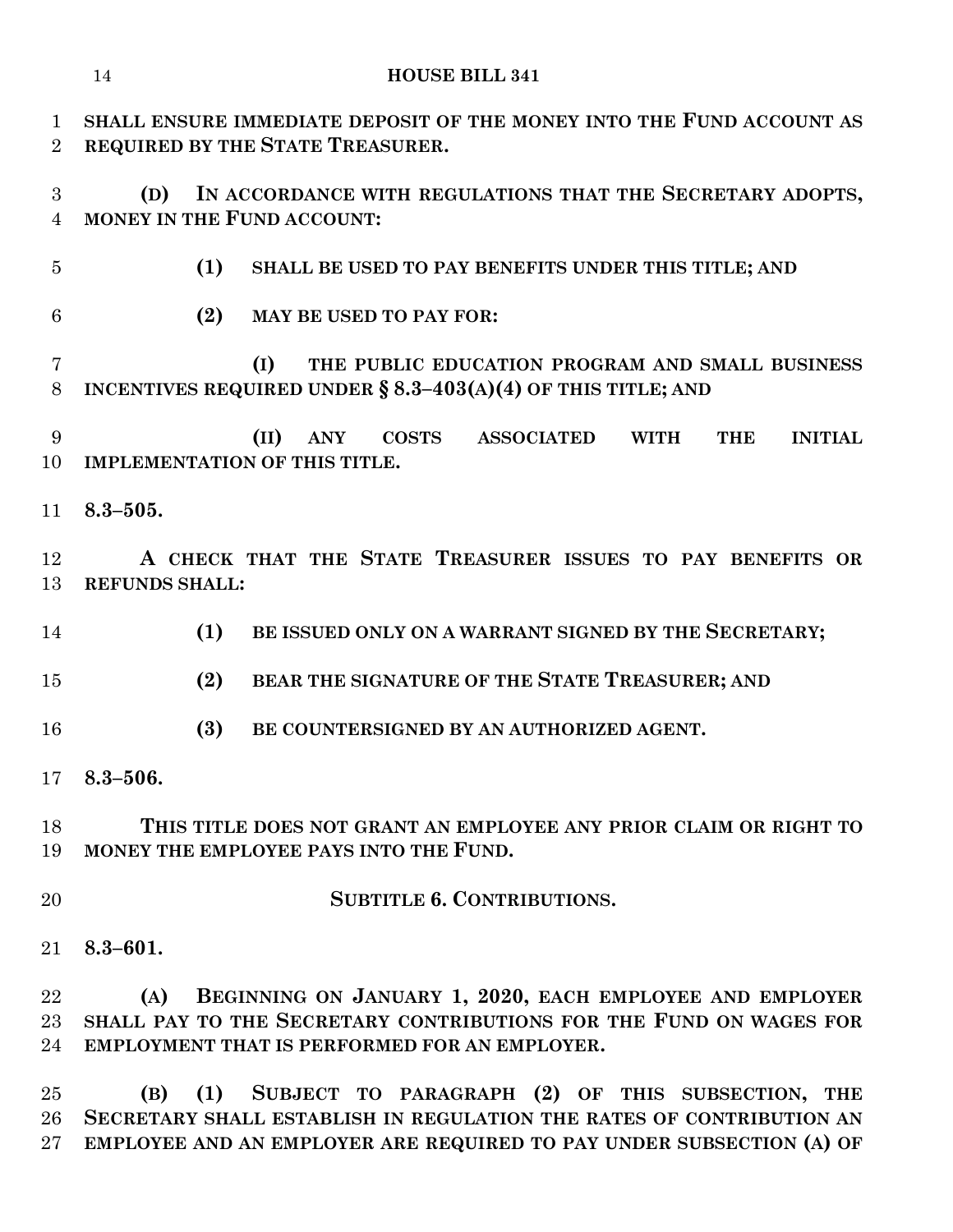| $\mathbf 1$<br>$\overline{2}$ | SHALL ENSURE IMMEDIATE DEPOSIT OF THE MONEY INTO THE FUND ACCOUNT AS<br>REQUIRED BY THE STATE TREASURER.                                                                               |  |  |
|-------------------------------|----------------------------------------------------------------------------------------------------------------------------------------------------------------------------------------|--|--|
| 3<br>$\overline{4}$           | IN ACCORDANCE WITH REGULATIONS THAT THE SECRETARY ADOPTS,<br>(D)<br>MONEY IN THE FUND ACCOUNT:                                                                                         |  |  |
| $\overline{5}$                | (1)<br>SHALL BE USED TO PAY BENEFITS UNDER THIS TITLE; AND                                                                                                                             |  |  |
| 6                             | (2)<br><b>MAY BE USED TO PAY FOR:</b>                                                                                                                                                  |  |  |
| 7<br>$8\,$                    | THE PUBLIC EDUCATION PROGRAM AND SMALL BUSINESS<br>(I)<br>INCENTIVES REQUIRED UNDER $\S$ 8.3-403(A)(4) OF THIS TITLE; AND                                                              |  |  |
| 9<br>10                       | ANY COSTS<br>(II)<br><b>ASSOCIATED</b><br><b>WITH</b><br><b>THE</b><br><b>INITIAL</b><br><b>IMPLEMENTATION OF THIS TITLE.</b>                                                          |  |  |
| 11                            | $8.3 - 505.$                                                                                                                                                                           |  |  |
| 12<br>13                      | A CHECK THAT THE STATE TREASURER ISSUES TO PAY BENEFITS OR<br><b>REFUNDS SHALL:</b>                                                                                                    |  |  |
| 14                            | (1)<br>BE ISSUED ONLY ON A WARRANT SIGNED BY THE SECRETARY;                                                                                                                            |  |  |
| 15                            | (2)<br>BEAR THE SIGNATURE OF THE STATE TREASURER; AND                                                                                                                                  |  |  |
| 16                            | (3)<br>BE COUNTERSIGNED BY AN AUTHORIZED AGENT.                                                                                                                                        |  |  |
| 17 <sup>1</sup>               | $8.3 - 506.$                                                                                                                                                                           |  |  |
| 18<br>19                      | THIS TITLE DOES NOT GRANT AN EMPLOYEE ANY PRIOR CLAIM OR RIGHT TO<br>MONEY THE EMPLOYEE PAYS INTO THE FUND.                                                                            |  |  |
| 20                            | <b>SUBTITLE 6. CONTRIBUTIONS.</b>                                                                                                                                                      |  |  |
| $21\,$                        | $8.3 - 601.$                                                                                                                                                                           |  |  |
| 22<br>23<br>24                | BEGINNING ON JANUARY 1, 2020, EACH EMPLOYEE AND EMPLOYER<br>(A)<br>SHALL PAY TO THE SECRETARY CONTRIBUTIONS FOR THE FUND ON WAGES FOR<br>EMPLOYMENT THAT IS PERFORMED FOR AN EMPLOYER. |  |  |
| $25\,$                        | (B)<br>(1)<br>SUBJECT TO PARAGRAPH (2) OF THIS SUBSECTION,<br><b>THE</b>                                                                                                               |  |  |

 **SECRETARY SHALL ESTABLISH IN REGULATION THE RATES OF CONTRIBUTION AN EMPLOYEE AND AN EMPLOYER ARE REQUIRED TO PAY UNDER SUBSECTION (A) OF**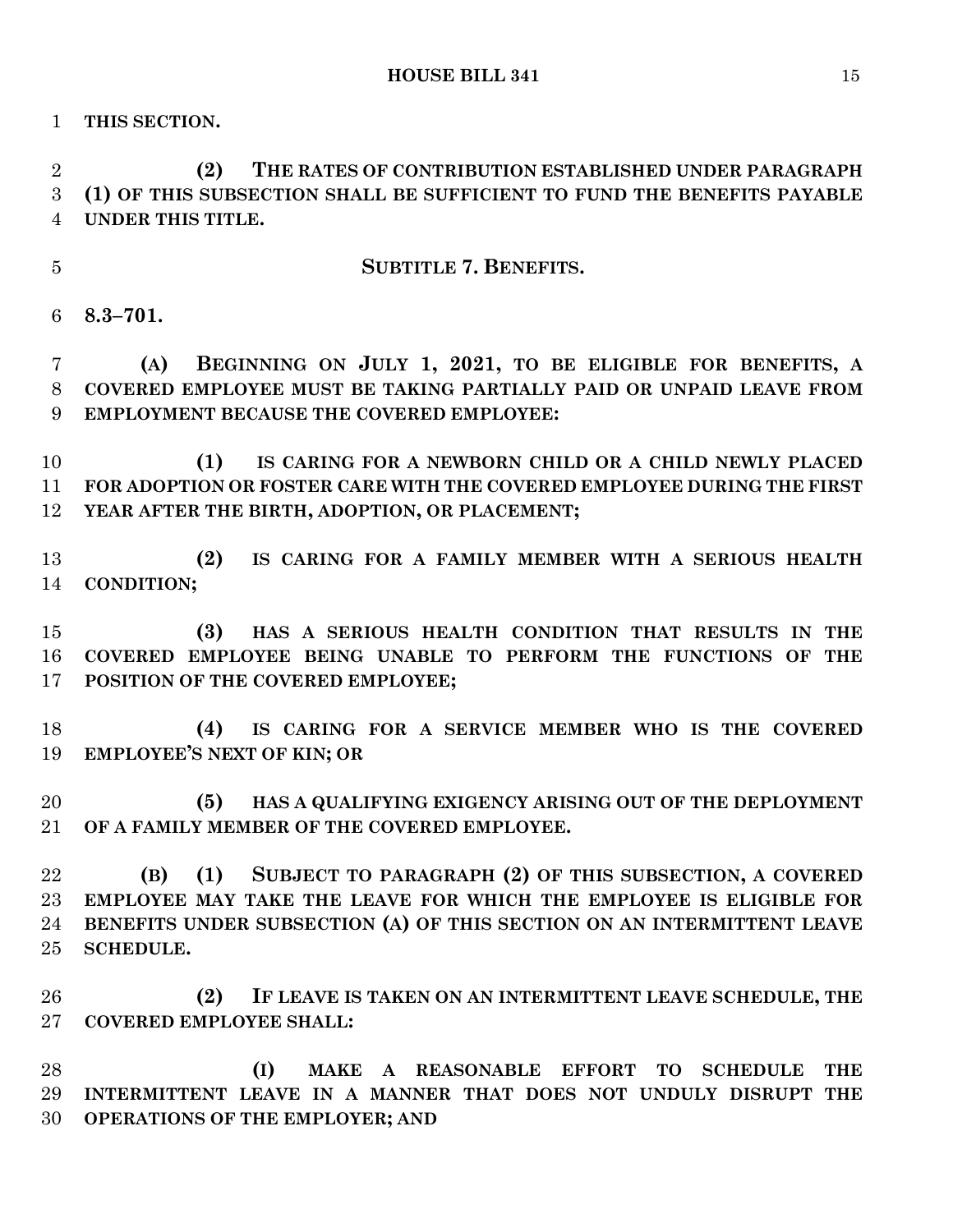**THIS SECTION.**

 **(2) THE RATES OF CONTRIBUTION ESTABLISHED UNDER PARAGRAPH (1) OF THIS SUBSECTION SHALL BE SUFFICIENT TO FUND THE BENEFITS PAYABLE UNDER THIS TITLE.**

**SUBTITLE 7. BENEFITS.**

**8.3–701.**

 **(A) BEGINNING ON JULY 1, 2021, TO BE ELIGIBLE FOR BENEFITS, A COVERED EMPLOYEE MUST BE TAKING PARTIALLY PAID OR UNPAID LEAVE FROM EMPLOYMENT BECAUSE THE COVERED EMPLOYEE:**

 **(1) IS CARING FOR A NEWBORN CHILD OR A CHILD NEWLY PLACED FOR ADOPTION OR FOSTER CARE WITH THE COVERED EMPLOYEE DURING THE FIRST YEAR AFTER THE BIRTH, ADOPTION, OR PLACEMENT;**

 **(2) IS CARING FOR A FAMILY MEMBER WITH A SERIOUS HEALTH CONDITION;**

 **(3) HAS A SERIOUS HEALTH CONDITION THAT RESULTS IN THE COVERED EMPLOYEE BEING UNABLE TO PERFORM THE FUNCTIONS OF THE POSITION OF THE COVERED EMPLOYEE;**

 **(4) IS CARING FOR A SERVICE MEMBER WHO IS THE COVERED EMPLOYEE'S NEXT OF KIN; OR**

 **(5) HAS A QUALIFYING EXIGENCY ARISING OUT OF THE DEPLOYMENT OF A FAMILY MEMBER OF THE COVERED EMPLOYEE.**

 **(B) (1) SUBJECT TO PARAGRAPH (2) OF THIS SUBSECTION, A COVERED EMPLOYEE MAY TAKE THE LEAVE FOR WHICH THE EMPLOYEE IS ELIGIBLE FOR BENEFITS UNDER SUBSECTION (A) OF THIS SECTION ON AN INTERMITTENT LEAVE SCHEDULE.**

 **(2) IF LEAVE IS TAKEN ON AN INTERMITTENT LEAVE SCHEDULE, THE COVERED EMPLOYEE SHALL:**

 **(I) MAKE A REASONABLE EFFORT TO SCHEDULE THE INTERMITTENT LEAVE IN A MANNER THAT DOES NOT UNDULY DISRUPT THE OPERATIONS OF THE EMPLOYER; AND**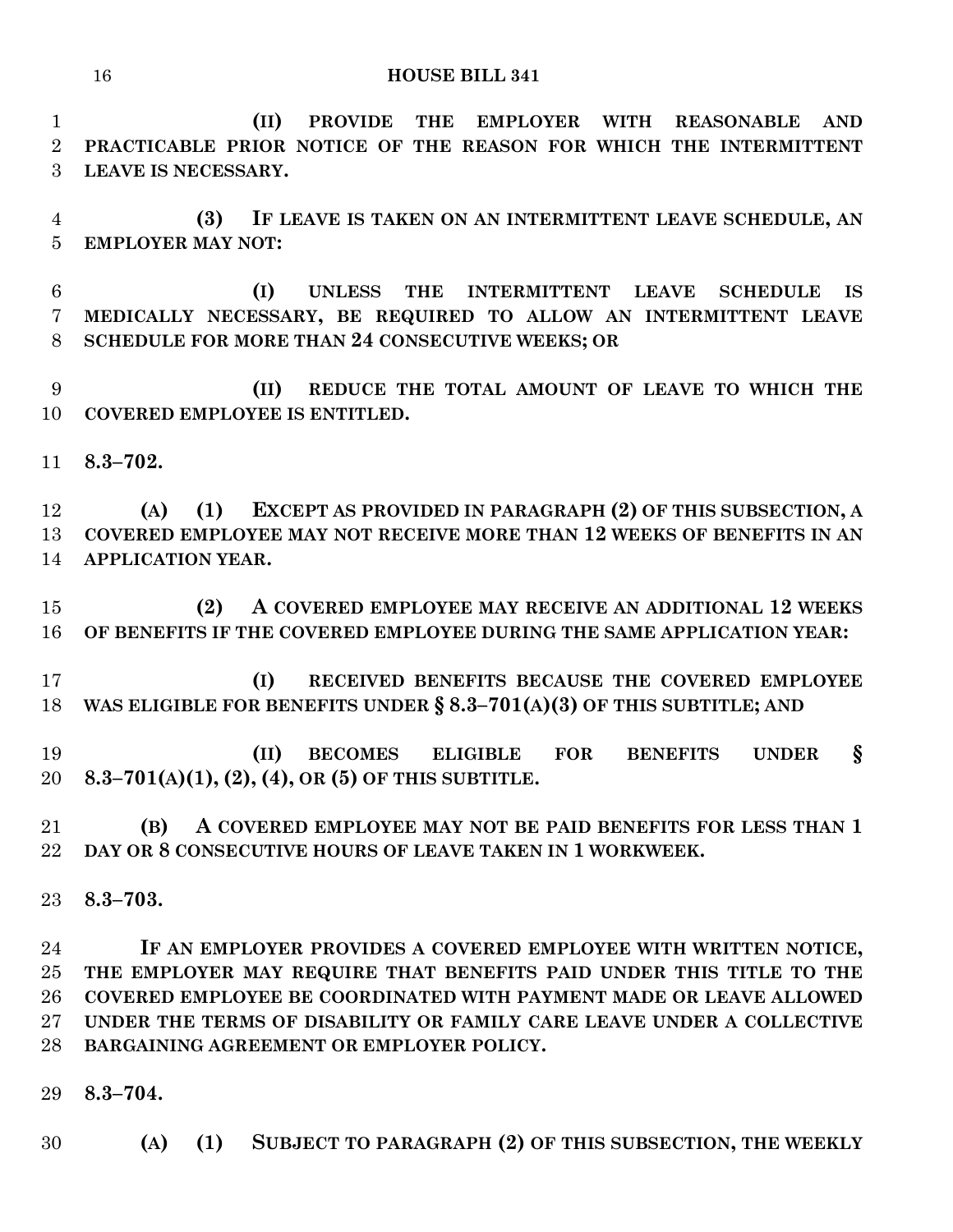**(II) PROVIDE THE EMPLOYER WITH REASONABLE AND PRACTICABLE PRIOR NOTICE OF THE REASON FOR WHICH THE INTERMITTENT LEAVE IS NECESSARY.**

 **(3) IF LEAVE IS TAKEN ON AN INTERMITTENT LEAVE SCHEDULE, AN EMPLOYER MAY NOT:**

 **(I) UNLESS THE INTERMITTENT LEAVE SCHEDULE IS MEDICALLY NECESSARY, BE REQUIRED TO ALLOW AN INTERMITTENT LEAVE SCHEDULE FOR MORE THAN 24 CONSECUTIVE WEEKS; OR**

 **(II) REDUCE THE TOTAL AMOUNT OF LEAVE TO WHICH THE COVERED EMPLOYEE IS ENTITLED.**

**8.3–702.**

 **(A) (1) EXCEPT AS PROVIDED IN PARAGRAPH (2) OF THIS SUBSECTION, A COVERED EMPLOYEE MAY NOT RECEIVE MORE THAN 12 WEEKS OF BENEFITS IN AN APPLICATION YEAR.**

 **(2) A COVERED EMPLOYEE MAY RECEIVE AN ADDITIONAL 12 WEEKS OF BENEFITS IF THE COVERED EMPLOYEE DURING THE SAME APPLICATION YEAR:**

 **(I) RECEIVED BENEFITS BECAUSE THE COVERED EMPLOYEE WAS ELIGIBLE FOR BENEFITS UNDER § 8.3–701(A)(3) OF THIS SUBTITLE; AND**

 **(II) BECOMES ELIGIBLE FOR BENEFITS UNDER § 8.3–701(A)(1), (2), (4), OR (5) OF THIS SUBTITLE.**

 **(B) A COVERED EMPLOYEE MAY NOT BE PAID BENEFITS FOR LESS THAN 1 DAY OR 8 CONSECUTIVE HOURS OF LEAVE TAKEN IN 1 WORKWEEK.**

**8.3–703.**

 **IF AN EMPLOYER PROVIDES A COVERED EMPLOYEE WITH WRITTEN NOTICE, THE EMPLOYER MAY REQUIRE THAT BENEFITS PAID UNDER THIS TITLE TO THE COVERED EMPLOYEE BE COORDINATED WITH PAYMENT MADE OR LEAVE ALLOWED UNDER THE TERMS OF DISABILITY OR FAMILY CARE LEAVE UNDER A COLLECTIVE BARGAINING AGREEMENT OR EMPLOYER POLICY.**

**8.3–704.**

**(A) (1) SUBJECT TO PARAGRAPH (2) OF THIS SUBSECTION, THE WEEKLY**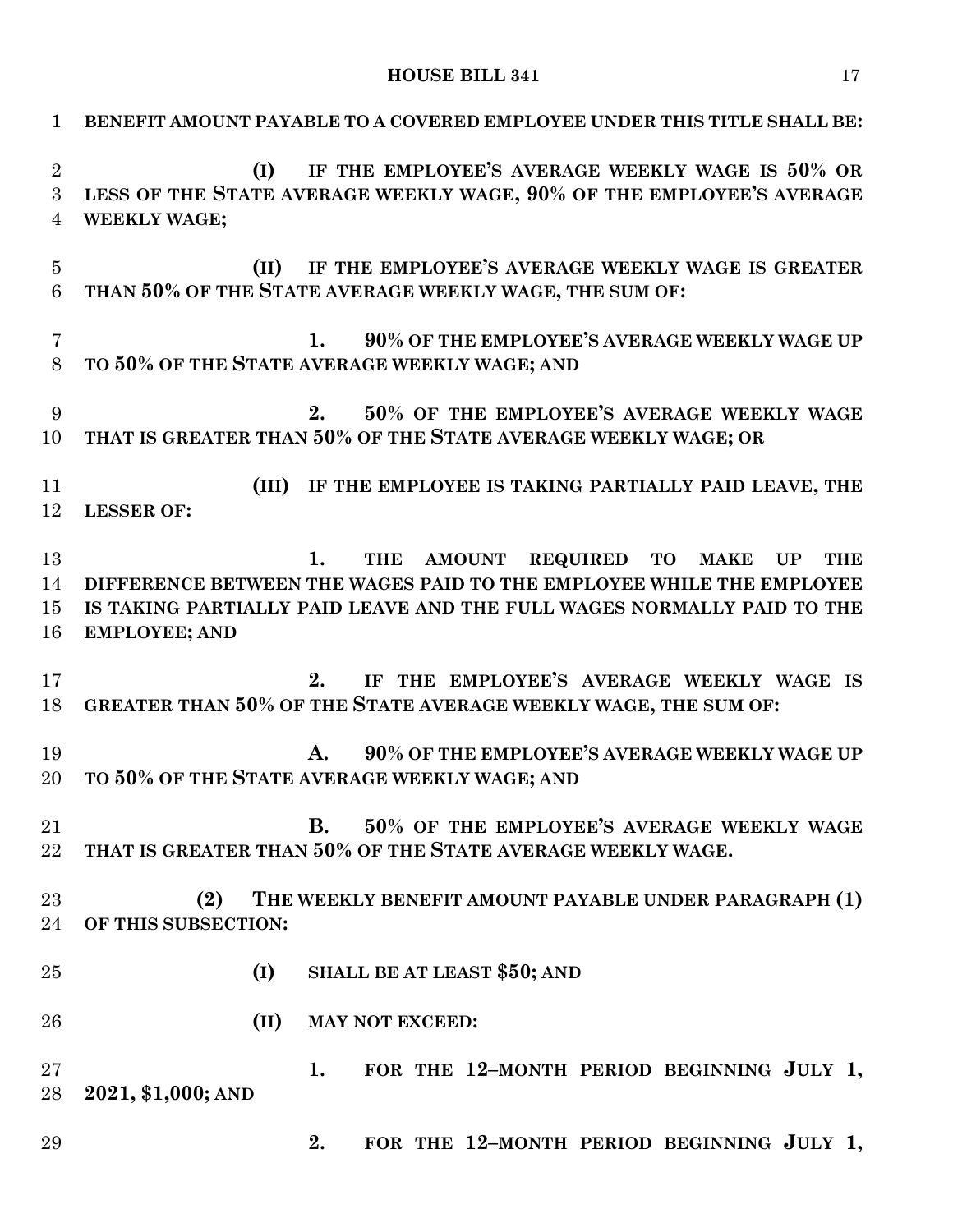**BENEFIT AMOUNT PAYABLE TO A COVERED EMPLOYEE UNDER THIS TITLE SHALL BE: (I) IF THE EMPLOYEE'S AVERAGE WEEKLY WAGE IS 50% OR LESS OF THE STATE AVERAGE WEEKLY WAGE, 90% OF THE EMPLOYEE'S AVERAGE WEEKLY WAGE; (II) IF THE EMPLOYEE'S AVERAGE WEEKLY WAGE IS GREATER THAN 50% OF THE STATE AVERAGE WEEKLY WAGE, THE SUM OF: 1. 90% OF THE EMPLOYEE'S AVERAGE WEEKLY WAGE UP TO 50% OF THE STATE AVERAGE WEEKLY WAGE; AND 2. 50% OF THE EMPLOYEE'S AVERAGE WEEKLY WAGE THAT IS GREATER THAN 50% OF THE STATE AVERAGE WEEKLY WAGE; OR (III) IF THE EMPLOYEE IS TAKING PARTIALLY PAID LEAVE, THE LESSER OF: 1. THE AMOUNT REQUIRED TO MAKE UP THE DIFFERENCE BETWEEN THE WAGES PAID TO THE EMPLOYEE WHILE THE EMPLOYEE IS TAKING PARTIALLY PAID LEAVE AND THE FULL WAGES NORMALLY PAID TO THE EMPLOYEE; AND 2. IF THE EMPLOYEE'S AVERAGE WEEKLY WAGE IS GREATER THAN 50% OF THE STATE AVERAGE WEEKLY WAGE, THE SUM OF: A. 90% OF THE EMPLOYEE'S AVERAGE WEEKLY WAGE UP TO 50% OF THE STATE AVERAGE WEEKLY WAGE; AND B. 50% OF THE EMPLOYEE'S AVERAGE WEEKLY WAGE THAT IS GREATER THAN 50% OF THE STATE AVERAGE WEEKLY WAGE. (2) THE WEEKLY BENEFIT AMOUNT PAYABLE UNDER PARAGRAPH (1) OF THIS SUBSECTION: (I) SHALL BE AT LEAST \$50; AND (II) MAY NOT EXCEED: 1. FOR THE 12–MONTH PERIOD BEGINNING JULY 1, 2021, \$1,000; AND 2. FOR THE 12–MONTH PERIOD BEGINNING JULY 1,**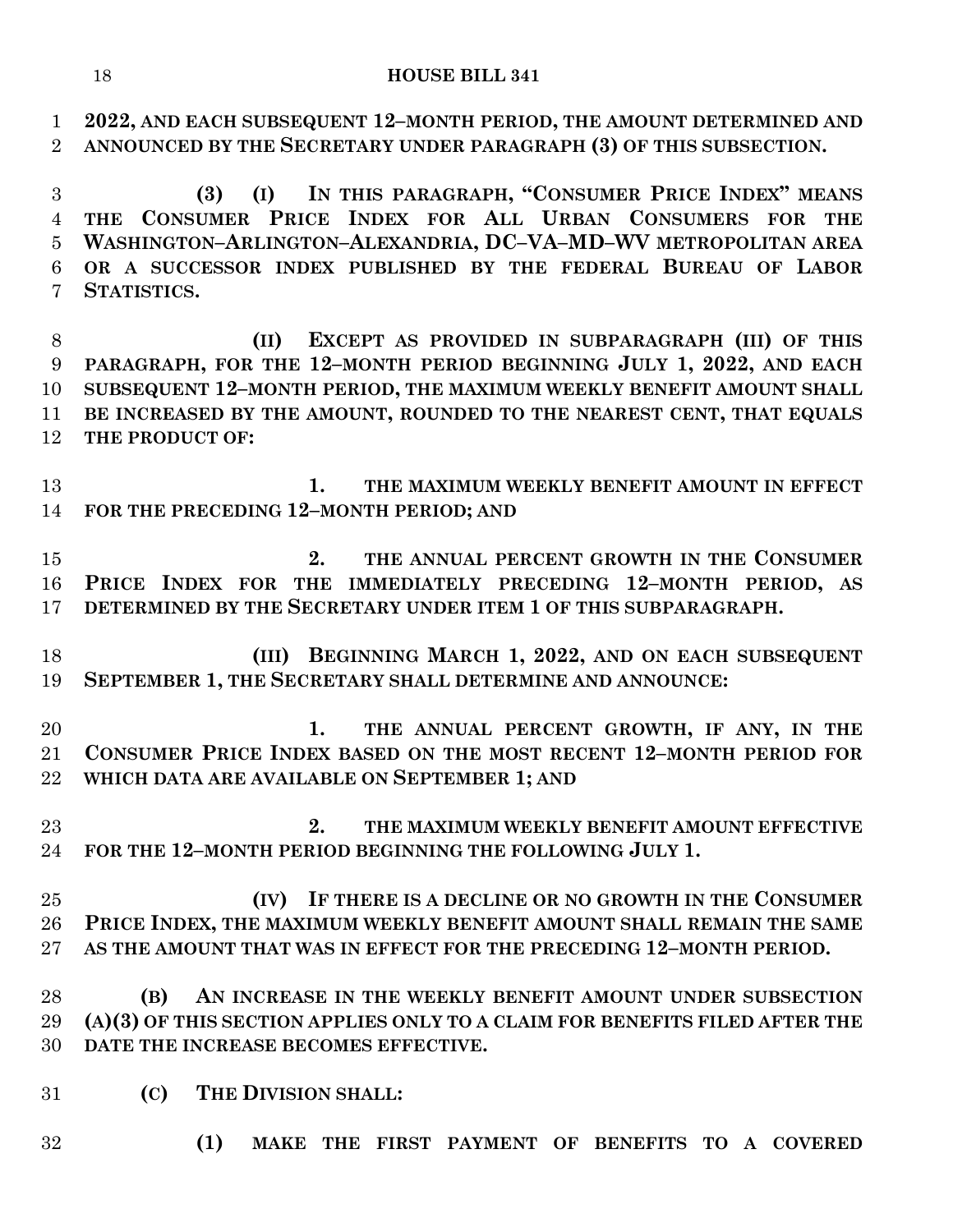**2022, AND EACH SUBSEQUENT 12–MONTH PERIOD, THE AMOUNT DETERMINED AND ANNOUNCED BY THE SECRETARY UNDER PARAGRAPH (3) OF THIS SUBSECTION.**

 **(3) (I) IN THIS PARAGRAPH, "CONSUMER PRICE INDEX" MEANS THE CONSUMER PRICE INDEX FOR ALL URBAN CONSUMERS FOR THE WASHINGTON–ARLINGTON–ALEXANDRIA, DC–VA–MD–WV METROPOLITAN AREA OR A SUCCESSOR INDEX PUBLISHED BY THE FEDERAL BUREAU OF LABOR STATISTICS.**

 **(II) EXCEPT AS PROVIDED IN SUBPARAGRAPH (III) OF THIS PARAGRAPH, FOR THE 12–MONTH PERIOD BEGINNING JULY 1, 2022, AND EACH SUBSEQUENT 12–MONTH PERIOD, THE MAXIMUM WEEKLY BENEFIT AMOUNT SHALL BE INCREASED BY THE AMOUNT, ROUNDED TO THE NEAREST CENT, THAT EQUALS THE PRODUCT OF:**

 **1. THE MAXIMUM WEEKLY BENEFIT AMOUNT IN EFFECT FOR THE PRECEDING 12–MONTH PERIOD; AND**

 **2. THE ANNUAL PERCENT GROWTH IN THE CONSUMER PRICE INDEX FOR THE IMMEDIATELY PRECEDING 12–MONTH PERIOD, AS DETERMINED BY THE SECRETARY UNDER ITEM 1 OF THIS SUBPARAGRAPH.**

 **(III) BEGINNING MARCH 1, 2022, AND ON EACH SUBSEQUENT SEPTEMBER 1, THE SECRETARY SHALL DETERMINE AND ANNOUNCE:**

 **1. THE ANNUAL PERCENT GROWTH, IF ANY, IN THE CONSUMER PRICE INDEX BASED ON THE MOST RECENT 12–MONTH PERIOD FOR WHICH DATA ARE AVAILABLE ON SEPTEMBER 1; AND**

 **2. THE MAXIMUM WEEKLY BENEFIT AMOUNT EFFECTIVE FOR THE 12–MONTH PERIOD BEGINNING THE FOLLOWING JULY 1.**

 **(IV) IF THERE IS A DECLINE OR NO GROWTH IN THE CONSUMER PRICE INDEX, THE MAXIMUM WEEKLY BENEFIT AMOUNT SHALL REMAIN THE SAME AS THE AMOUNT THAT WAS IN EFFECT FOR THE PRECEDING 12–MONTH PERIOD.**

 **(B) AN INCREASE IN THE WEEKLY BENEFIT AMOUNT UNDER SUBSECTION (A)(3) OF THIS SECTION APPLIES ONLY TO A CLAIM FOR BENEFITS FILED AFTER THE DATE THE INCREASE BECOMES EFFECTIVE.**

- **(C) THE DIVISION SHALL:**
- **(1) MAKE THE FIRST PAYMENT OF BENEFITS TO A COVERED**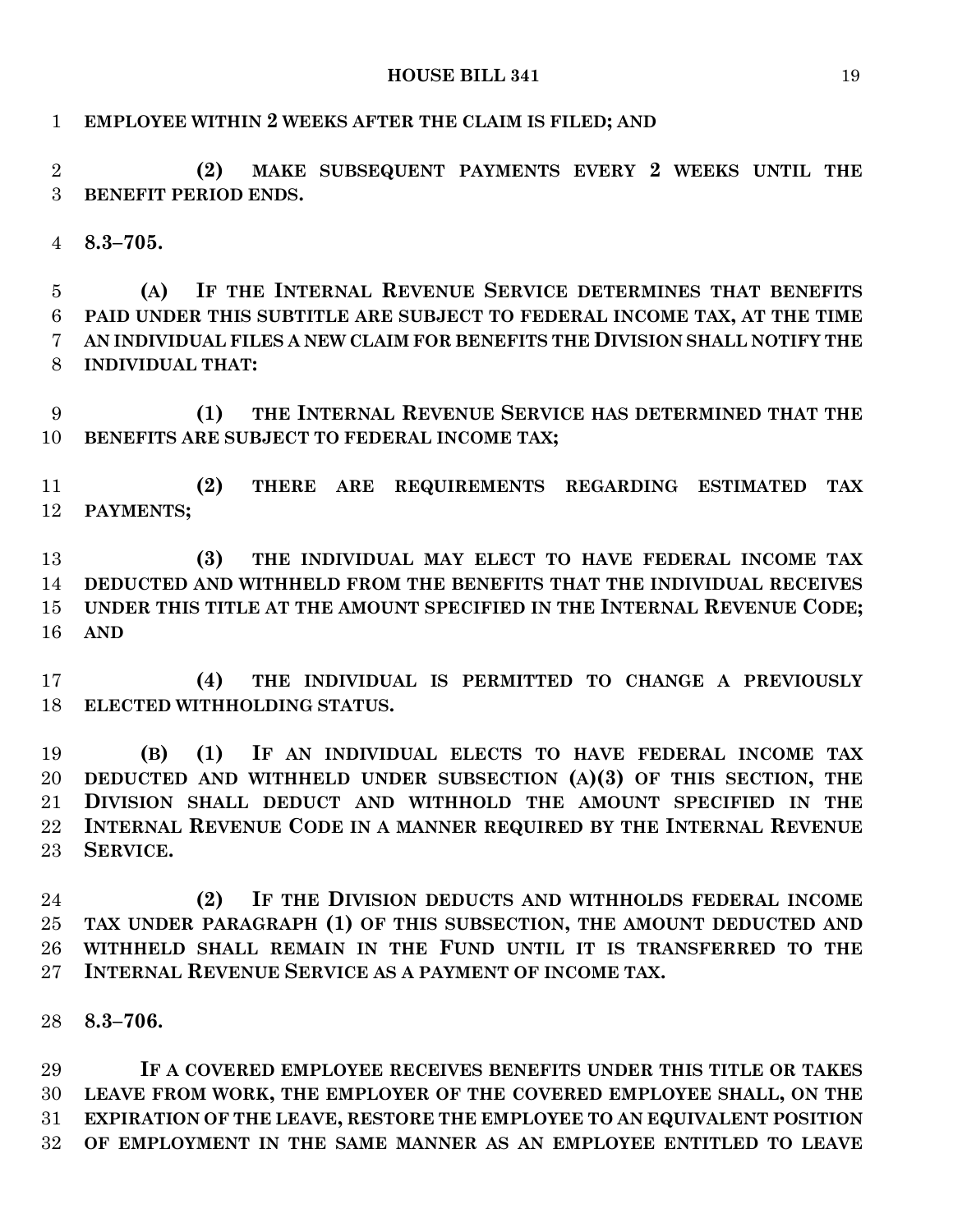**(2) MAKE SUBSEQUENT PAYMENTS EVERY 2 WEEKS UNTIL THE** 

**EMPLOYEE WITHIN 2 WEEKS AFTER THE CLAIM IS FILED; AND**

# **BENEFIT PERIOD ENDS. 8.3–705. (A) IF THE INTERNAL REVENUE SERVICE DETERMINES THAT BENEFITS PAID UNDER THIS SUBTITLE ARE SUBJECT TO FEDERAL INCOME TAX, AT THE TIME AN INDIVIDUAL FILES A NEW CLAIM FOR BENEFITS THE DIVISION SHALL NOTIFY THE INDIVIDUAL THAT: (1) THE INTERNAL REVENUE SERVICE HAS DETERMINED THAT THE BENEFITS ARE SUBJECT TO FEDERAL INCOME TAX; (2) THERE ARE REQUIREMENTS REGARDING ESTIMATED TAX PAYMENTS; (3) THE INDIVIDUAL MAY ELECT TO HAVE FEDERAL INCOME TAX DEDUCTED AND WITHHELD FROM THE BENEFITS THAT THE INDIVIDUAL RECEIVES UNDER THIS TITLE AT THE AMOUNT SPECIFIED IN THE INTERNAL REVENUE CODE; AND (4) THE INDIVIDUAL IS PERMITTED TO CHANGE A PREVIOUSLY ELECTED WITHHOLDING STATUS.**

 **(B) (1) IF AN INDIVIDUAL ELECTS TO HAVE FEDERAL INCOME TAX DEDUCTED AND WITHHELD UNDER SUBSECTION (A)(3) OF THIS SECTION, THE DIVISION SHALL DEDUCT AND WITHHOLD THE AMOUNT SPECIFIED IN THE INTERNAL REVENUE CODE IN A MANNER REQUIRED BY THE INTERNAL REVENUE SERVICE.**

 **(2) IF THE DIVISION DEDUCTS AND WITHHOLDS FEDERAL INCOME TAX UNDER PARAGRAPH (1) OF THIS SUBSECTION, THE AMOUNT DEDUCTED AND WITHHELD SHALL REMAIN IN THE FUND UNTIL IT IS TRANSFERRED TO THE INTERNAL REVENUE SERVICE AS A PAYMENT OF INCOME TAX.**

**8.3–706.**

 **IF A COVERED EMPLOYEE RECEIVES BENEFITS UNDER THIS TITLE OR TAKES LEAVE FROM WORK, THE EMPLOYER OF THE COVERED EMPLOYEE SHALL, ON THE EXPIRATION OF THE LEAVE, RESTORE THE EMPLOYEE TO AN EQUIVALENT POSITION OF EMPLOYMENT IN THE SAME MANNER AS AN EMPLOYEE ENTITLED TO LEAVE**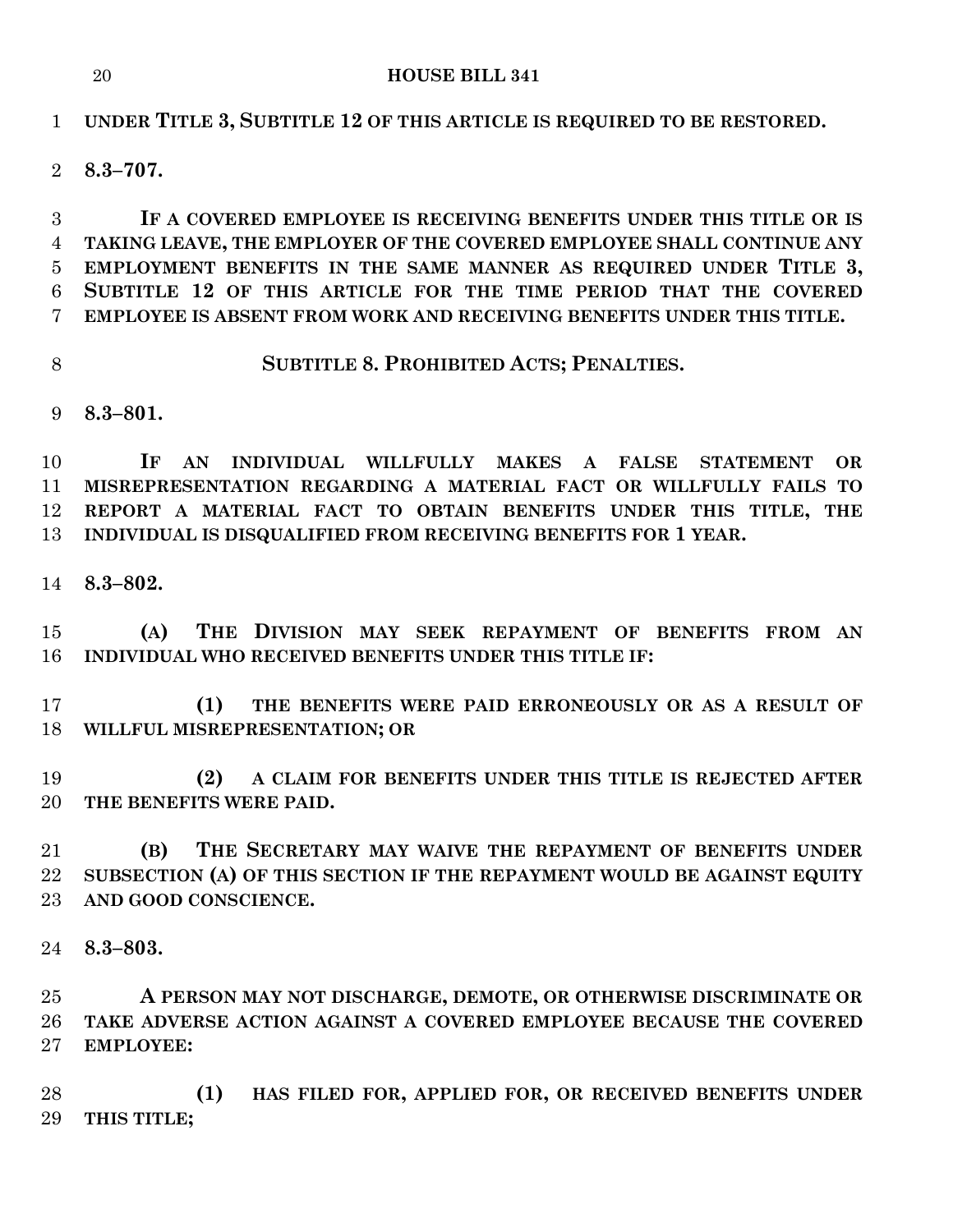# **UNDER TITLE 3, SUBTITLE 12 OF THIS ARTICLE IS REQUIRED TO BE RESTORED.**

# **8.3–707.**

 **IF A COVERED EMPLOYEE IS RECEIVING BENEFITS UNDER THIS TITLE OR IS TAKING LEAVE, THE EMPLOYER OF THE COVERED EMPLOYEE SHALL CONTINUE ANY EMPLOYMENT BENEFITS IN THE SAME MANNER AS REQUIRED UNDER TITLE 3, SUBTITLE 12 OF THIS ARTICLE FOR THE TIME PERIOD THAT THE COVERED EMPLOYEE IS ABSENT FROM WORK AND RECEIVING BENEFITS UNDER THIS TITLE.**

**SUBTITLE 8. PROHIBITED ACTS; PENALTIES.**

**8.3–801.**

 **IF AN INDIVIDUAL WILLFULLY MAKES A FALSE STATEMENT OR MISREPRESENTATION REGARDING A MATERIAL FACT OR WILLFULLY FAILS TO REPORT A MATERIAL FACT TO OBTAIN BENEFITS UNDER THIS TITLE, THE INDIVIDUAL IS DISQUALIFIED FROM RECEIVING BENEFITS FOR 1 YEAR.**

**8.3–802.**

 **(A) THE DIVISION MAY SEEK REPAYMENT OF BENEFITS FROM AN INDIVIDUAL WHO RECEIVED BENEFITS UNDER THIS TITLE IF:**

 **(1) THE BENEFITS WERE PAID ERRONEOUSLY OR AS A RESULT OF WILLFUL MISREPRESENTATION; OR**

 **(2) A CLAIM FOR BENEFITS UNDER THIS TITLE IS REJECTED AFTER THE BENEFITS WERE PAID.**

 **(B) THE SECRETARY MAY WAIVE THE REPAYMENT OF BENEFITS UNDER SUBSECTION (A) OF THIS SECTION IF THE REPAYMENT WOULD BE AGAINST EQUITY AND GOOD CONSCIENCE.**

**8.3–803.**

 **A PERSON MAY NOT DISCHARGE, DEMOTE, OR OTHERWISE DISCRIMINATE OR TAKE ADVERSE ACTION AGAINST A COVERED EMPLOYEE BECAUSE THE COVERED EMPLOYEE:**

 **(1) HAS FILED FOR, APPLIED FOR, OR RECEIVED BENEFITS UNDER THIS TITLE;**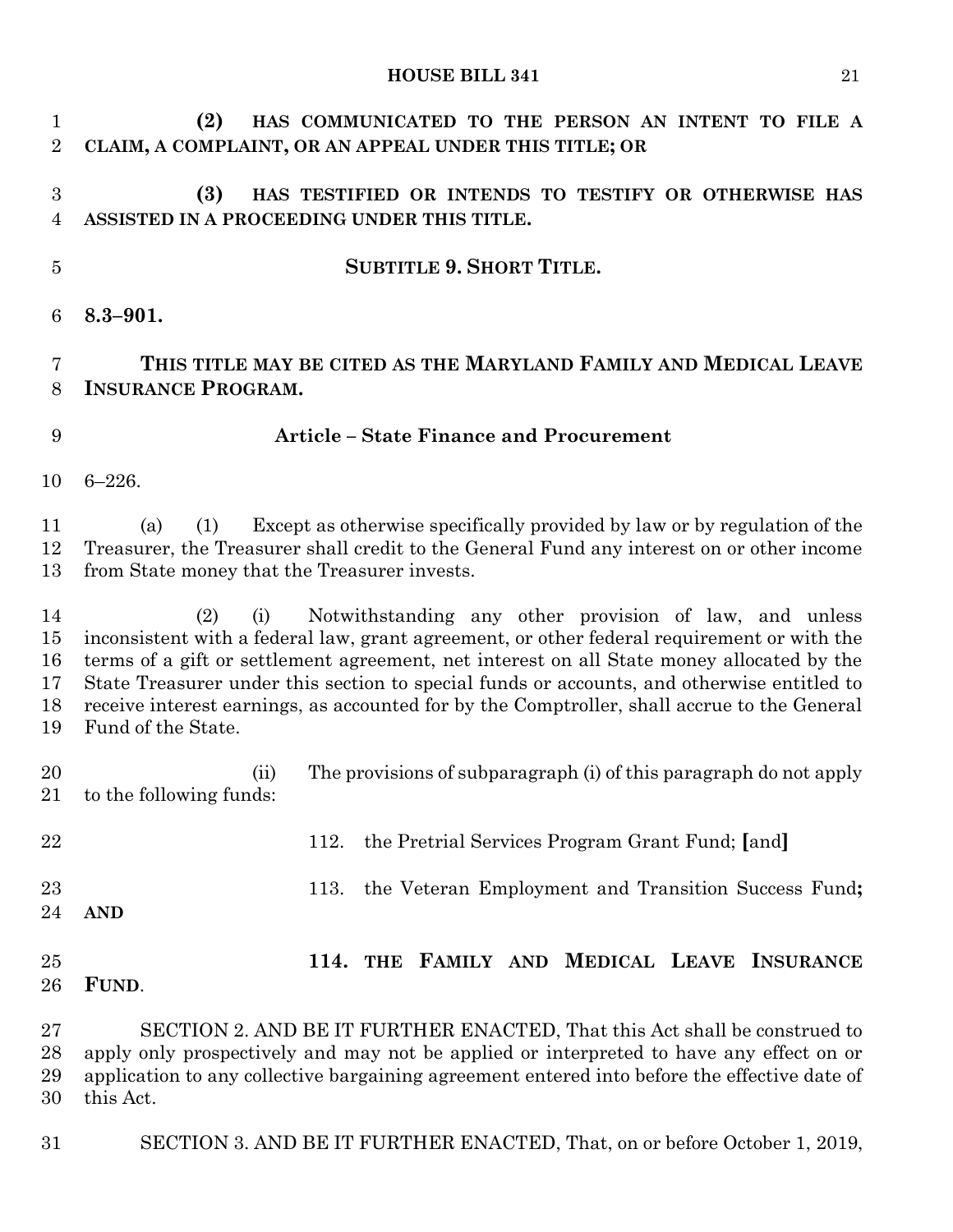**(2) HAS COMMUNICATED TO THE PERSON AN INTENT TO FILE A CLAIM, A COMPLAINT, OR AN APPEAL UNDER THIS TITLE; OR (3) HAS TESTIFIED OR INTENDS TO TESTIFY OR OTHERWISE HAS ASSISTED IN A PROCEEDING UNDER THIS TITLE. SUBTITLE 9. SHORT TITLE. 8.3–901. THIS TITLE MAY BE CITED AS THE MARYLAND FAMILY AND MEDICAL LEAVE INSURANCE PROGRAM. Article – State Finance and Procurement** 6–226. (a) (1) Except as otherwise specifically provided by law or by regulation of the Treasurer, the Treasurer shall credit to the General Fund any interest on or other income from State money that the Treasurer invests. (2) (i) Notwithstanding any other provision of law, and unless inconsistent with a federal law, grant agreement, or other federal requirement or with the terms of a gift or settlement agreement, net interest on all State money allocated by the State Treasurer under this section to special funds or accounts, and otherwise entitled to receive interest earnings, as accounted for by the Comptroller, shall accrue to the General Fund of the State. (ii) The provisions of subparagraph (i) of this paragraph do not apply to the following funds: 112. the Pretrial Services Program Grant Fund; **[**and**]** 113. the Veteran Employment and Transition Success Fund**; AND 114. THE FAMILY AND MEDICAL LEAVE INSURANCE FUND**. SECTION 2. AND BE IT FURTHER ENACTED, That this Act shall be construed to apply only prospectively and may not be applied or interpreted to have any effect on or application to any collective bargaining agreement entered into before the effective date of this Act.

SECTION 3. AND BE IT FURTHER ENACTED, That, on or before October 1, 2019,